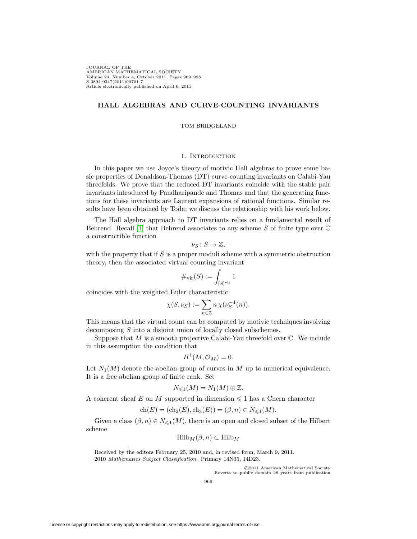JOURNAL OF THE AMERICAN MATHEMATICAL SOCIETY Volume 24, Number 4, October 2011, Pages 969–998 S 0894-0347(2011)00701-7 Article electronically published on April 6, 2011

# **HALL ALGEBRAS AND CURVE-COUNTING INVARIANTS**

### TOM BRIDGELAND

## 1. INTRODUCTION

In this paper we use Joyce's theory of motivic Hall algebras to prove some basic properties of Donaldson-Thomas (DT) curve-counting invariants on Calabi-Yau threefolds. We prove that the reduced DT invariants coincide with the stable pair invariants introduced by Pandharipande and Thomas and that the generating functions for these invariants are Laurent expansions of rational functions. Similar results have been obtained by Toda; we discuss the relationship with his work below.

The Hall algebra approach to DT invariants relies on a fundamental result of Behrend. Recall [\[1\]](#page-28-0) that Behrend associates to any scheme  $S$  of finite type over  $\mathbb C$ a constructible function

$$
\nu_S\colon S\to\mathbb{Z},
$$

with the property that if  $S$  is a proper moduli scheme with a symmetric obstruction theory, then the associated virtual counting invariant

$$
\#_{\mathrm{vir}}(S):=\int_{[S]^{\mathrm{vir}}}\mathbf{1}
$$

coincides with the weighted Euler characteristic

$$
\chi(S,\nu_S) := \sum_{n \in \mathbb{Z}} n \,\chi(\nu_S^{-1}(n)).
$$

This means that the virtual count can be computed by motivic techniques involving decomposing S into a disjoint union of locally closed subschemes.

Suppose that  $M$  is a smooth projective Calabi-Yau threefold over  $\mathbb C$ . We include in this assumption the condition that

$$
H^1(M, \mathcal{O}_M) = 0.
$$

Let  $N_1(M)$  denote the abelian group of curves in M up to numerical equivalence. It is a free abelian group of finite rank. Set

$$
N_{\leq 1}(M)=N_1(M)\oplus \mathbb{Z}.
$$

A coherent sheaf E on M supported in dimension  $\leq 1$  has a Chern character

$$
ch(E) = (ch_2(E), ch_3(E)) = (\beta, n) \in N_{\leq 1}(M).
$$

Given a class  $(\beta, n) \in N_{\leq 1}(M)$ , there is an open and closed subset of the Hilbert scheme

$$
\mathrm{Hilb}_{M}(\beta, n) \subset \mathrm{Hilb}_{M}
$$

-c 2011 American Mathematical Society Reverts to public domain 28 years from publication

Received by the editors February 25, 2010 and, in revised form, March 9, 2011. 2010 Mathematics Subject Classification. Primary 14N35, 14D23.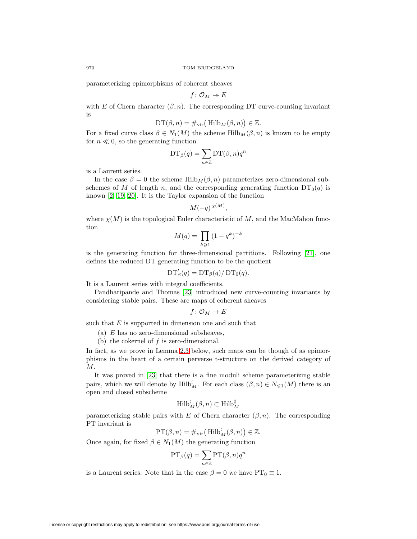parameterizing epimorphisms of coherent sheaves

$$
f\colon \mathcal{O}_M\twoheadrightarrow E
$$

with E of Chern character  $(\beta, n)$ . The corresponding DT curve-counting invariant is

$$
\mathrm{DT}(\beta,n)=\#_{\mathrm{vir}}\big(\operatorname{Hilb}_M(\beta,n)\big)\in\mathbb{Z}.
$$

For a fixed curve class  $\beta \in N_1(M)$  the scheme Hilb $_M(\beta, n)$  is known to be empty for  $n \ll 0$ , so the generating function

$$
\mathrm{DT}_{\beta}(q) = \sum_{n \in \mathbb{Z}} \mathrm{DT}(\beta, n) q^n
$$

is a Laurent series.

In the case  $\beta = 0$  the scheme Hilb<sub>M</sub>  $(\beta, n)$  parameterizes zero-dimensional subschemes of M of length n, and the corresponding generating function  $DT_0(q)$  is known [\[2,](#page-28-1) [19,](#page-29-0) [20\]](#page-29-1). It is the Taylor expansion of the function

$$
M(-q)^{\chi(M)},
$$

where  $\chi(M)$  is the topological Euler characteristic of M, and the MacMahon function

$$
M(q) = \prod_{k \geqslant 1} (1 - q^k)^{-k}
$$

is the generating function for three-dimensional partitions. Following [\[21\]](#page-29-2), one defines the reduced DT generating function to be the quotient

$$
\mathrm{DT}'_{\beta}(q) = \mathrm{DT}_{\beta}(q) / \mathrm{DT}_0(q).
$$

It is a Laurent series with integral coefficients.

Pandharipande and Thomas [\[23\]](#page-29-3) introduced new curve-counting invariants by considering stable pairs. These are maps of coherent sheaves

$$
f\colon \mathcal{O}_M\to E
$$

such that  $E$  is supported in dimension one and such that

- (a) E has no zero-dimensional subsheaves,
- (b) the cokernel of  $f$  is zero-dimensional.

In fact, as we prove in Lemma 2.3 below, such maps can be though of as epimorphisms in the heart of a certain perverse t-structure on the derived category of M.

It was proved in [\[23\]](#page-29-3) that there is a fine moduli scheme parameterizing stable pairs, which we will denote by  $\text{Hilb}_{M}^{\sharp}$ . For each class  $(\beta, n) \in N_{\leq 1}(M)$  there is an open and closed subscheme

$$
\mathrm{Hilb}^{\sharp}_M(\beta,n)\subset \mathrm{Hilb}^{\sharp}_M
$$

parameterizing stable pairs with E of Chern character  $(\beta, n)$ . The corresponding PT invariant is

$$
\mathrm{PT}(\beta, n) = \#_{\mathrm{vir}} \left( \mathrm{Hilb}_{M}^{\sharp}(\beta, n) \right) \in \mathbb{Z}.
$$

Once again, for fixed  $\beta \in N_1(M)$  the generating function

$$
\mathrm{PT}_{\beta}(q) = \sum_{n \in \mathbb{Z}} \mathrm{PT}(\beta, n) q^n
$$

is a Laurent series. Note that in the case  $\beta = 0$  we have  $PT_0 \equiv 1$ .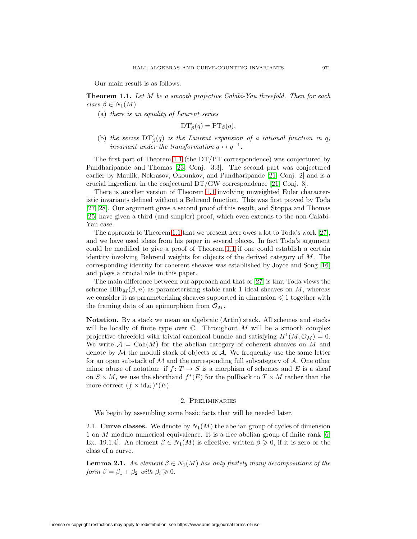Our main result is as follows.

<span id="page-2-0"></span>**Theorem 1.1.** Let M be a smooth projective Calabi-Yau threefold. Then for each class  $\beta \in N_1(M)$ 

(a) there is an equality of Laurent series

$$
DT'_{\beta}(q) = PT_{\beta}(q),
$$

(b) the series  $DT'_{\beta}(q)$  is the Laurent expansion of a rational function in q, invariant under the transformation  $q \leftrightarrow q^{-1}$ .

The first part of Theorem [1.1](#page-2-0) (the DT/PT correspondence) was conjectured by Pandharipande and Thomas [\[23,](#page-29-3) Conj. 3.3]. The second part was conjectured earlier by Maulik, Nekrasov, Okounkov, and Pandharipande [\[21,](#page-29-2) Conj. 2] and is a crucial ingredient in the conjectural DT/GW correspondence [\[21,](#page-29-2) Conj. 3].

There is another version of Theorem [1.1](#page-2-0) involving unweighted Euler characteristic invariants defined without a Behrend function. This was first proved by Toda [\[27,](#page-29-4) [28\]](#page-29-5). Our argument gives a second proof of this result, and Stoppa and Thomas [\[25\]](#page-29-6) have given a third (and simpler) proof, which even extends to the non-Calabi-Yau case.

The approach to Theorem [1.1](#page-2-0) that we present here owes a lot to Toda's work [\[27\]](#page-29-4), and we have used ideas from his paper in several places. In fact Toda's argument could be modified to give a proof of Theorem [1.1](#page-2-0) if one could establish a certain identity involving Behrend weights for objects of the derived category of  $M$ . The corresponding identity for coherent sheaves was established by Joyce and Song [\[16\]](#page-29-7) and plays a crucial role in this paper.

The main difference between our approach and that of [\[27\]](#page-29-4) is that Toda views the scheme Hilb $M(\beta,n)$  as parameterizing stable rank 1 ideal sheaves on M, whereas we consider it as parameterizing sheaves supported in dimension  $\leq 1$  together with the framing data of an epimorphism from  $\mathcal{O}_M$ .

**Notation.** By a stack we mean an algebraic (Artin) stack. All schemes and stacks will be locally of finite type over  $\mathbb{C}$ . Throughout M will be a smooth complex projective threefold with trivial canonical bundle and satisfying  $H^1(M, \mathcal{O}_M) = 0$ . We write  $A = \text{Coh}(M)$  for the abelian category of coherent sheaves on M and denote by  $M$  the moduli stack of objects of  $A$ . We frequently use the same letter for an open substack of  $\mathcal M$  and the corresponding full subcategory of  $\mathcal A$ . One other minor abuse of notation: if  $f: T \to S$  is a morphism of schemes and E is a sheaf on  $S \times M$ , we use the shorthand  $f^*(E)$  for the pullback to  $T \times M$  rather than the more correct  $(f \times id_M)^*(E)$ .

## 2. Preliminaries

We begin by assembling some basic facts that will be needed later.

2.1. **Curve classes.** We denote by  $N_1(M)$  the abelian group of cycles of dimension 1 on M modulo numerical equivalence. It is a free abelian group of finite rank [\[6,](#page-28-2) Ex. 19.1.4. An element  $\beta \in N_1(M)$  is effective, written  $\beta \geqslant 0$ , if it is zero or the class of a curve.

<span id="page-2-1"></span>**Lemma 2.1.** An element  $\beta \in N_1(M)$  has only finitely many decompositions of the form  $\beta = \beta_1 + \beta_2$  with  $\beta_i \geqslant 0$ .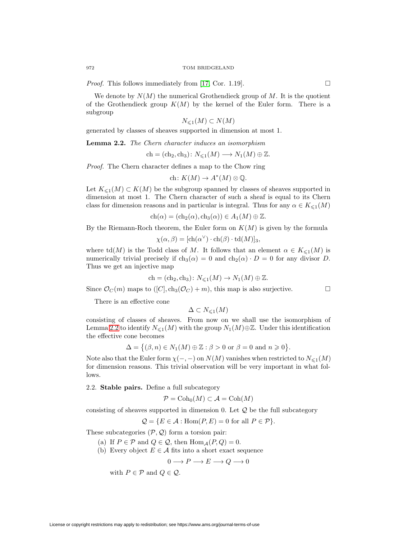*Proof.* This follows immediately from [\[17,](#page-29-8) Cor. 1.19].  $\Box$ 

We denote by  $N(M)$  the numerical Grothendieck group of M. It is the quotient of the Grothendieck group  $K(M)$  by the kernel of the Euler form. There is a subgroup

$$
N_{\leqslant 1}(M)\subset N(M)
$$

generated by classes of sheaves supported in dimension at most 1.

<span id="page-3-0"></span>**Lemma 2.2.** The Chern character induces an isomorphism

$$
ch = (ch_2, ch_3) \colon N_{\leq 1}(M) \longrightarrow N_1(M) \oplus \mathbb{Z}.
$$

Proof. The Chern character defines a map to the Chow ring

$$
ch: K(M) \to A^*(M) \otimes \mathbb{Q}.
$$

Let  $K_{\leq 1}(M) \subset K(M)$  be the subgroup spanned by classes of sheaves supported in dimension at most 1. The Chern character of such a sheaf is equal to its Chern class for dimension reasons and in particular is integral. Thus for any  $\alpha \in K_{\leq 1}(M)$ 

$$
ch(\alpha) = (ch_2(\alpha), ch_3(\alpha)) \in A_1(M) \oplus \mathbb{Z}.
$$

By the Riemann-Roch theorem, the Euler form on  $K(M)$  is given by the formula

$$
\chi(\alpha, \beta) = [\text{ch}(\alpha^{\vee}) \cdot \text{ch}(\beta) \cdot \text{td}(M)]_3,
$$

where  $\mathrm{td}(M)$  is the Todd class of M. It follows that an element  $\alpha \in K_{\leq 1}(M)$  is numerically trivial precisely if  $ch_3(\alpha) = 0$  and  $ch_2(\alpha) \cdot D = 0$  for any divisor D. Thus we get an injective map

$$
ch = (ch_2, ch_3) \colon N_{\leq 1}(M) \to N_1(M) \oplus \mathbb{Z}.
$$

Since  $\mathcal{O}_C(m)$  maps to  $([C], ch_3(\mathcal{O}_C) + m)$ , this map is also surjective.

There is an effective cone

$$
\Delta \subset N_{\leqslant 1}(M)
$$

consisting of classes of sheaves. From now on we shall use the isomorphism of Lemma [2.2](#page-3-0) to identify  $N_{\leq 1}(M)$  with the group  $N_1(M) \oplus \mathbb{Z}$ . Under this identification the effective cone becomes

$$
\Delta = \{ (\beta, n) \in N_1(M) \oplus \mathbb{Z} : \beta > 0 \text{ or } \beta = 0 \text{ and } n \geqslant 0 \}.
$$

Note also that the Euler form  $\chi(-,-)$  on  $N(M)$  vanishes when restricted to  $N_{\leqslant 1}(M)$ for dimension reasons. This trivial observation will be very important in what follows.

<span id="page-3-1"></span>2.2. **Stable pairs.** Define a full subcategory

$$
\mathcal{P} = \text{Coh}_0(M) \subset \mathcal{A} = \text{Coh}(M)
$$

consisting of sheaves supported in dimension 0. Let  $\mathcal Q$  be the full subcategory

$$
Q = \{ E \in \mathcal{A} : \text{Hom}(P, E) = 0 \text{ for all } P \in \mathcal{P} \}.
$$

These subcategories  $(\mathcal{P}, \mathcal{Q})$  form a torsion pair:

- (a) If  $P \in \mathcal{P}$  and  $Q \in \mathcal{Q}$ , then  $\text{Hom}_{\mathcal{A}}(P, Q) = 0$ .
- (b) Every object  $E \in \mathcal{A}$  fits into a short exact sequence

$$
0 \longrightarrow P \longrightarrow E \longrightarrow Q \longrightarrow 0
$$

with  $P \in \mathcal{P}$  and  $Q \in \mathcal{Q}$ .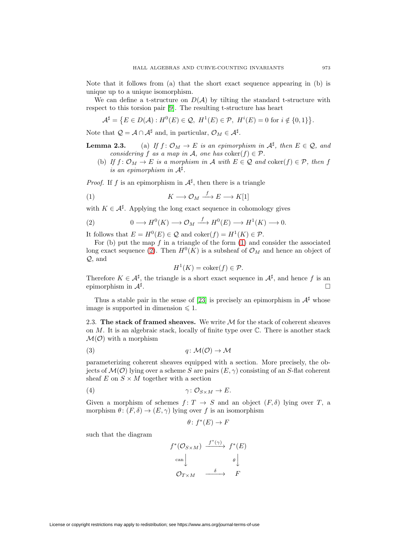Note that it follows from (a) that the short exact sequence appearing in (b) is unique up to a unique isomorphism.

We can define a t-structure on  $D(\mathcal{A})$  by tilting the standard t-structure with respect to this torsion pair [\[9\]](#page-28-3). The resulting t-structure has heart

$$
\mathcal{A}^{\sharp} = \{ E \in D(\mathcal{A}) : H^0(E) \in \mathcal{Q}, H^1(E) \in \mathcal{P}, H^i(E) = 0 \text{ for } i \notin \{0, 1\} \}.
$$

Note that  $\mathcal{Q} = \mathcal{A} \cap \mathcal{A}^{\sharp}$  and, in particular,  $\mathcal{O}_M \in \mathcal{A}^{\sharp}$ .

**Lemma 2.3.** (a) If 
$$
f: \mathcal{O}_M \to E
$$
 is an epimorphism in  $\mathcal{A}^{\sharp}$ , then  $E \in \mathcal{Q}$ , and considering f as a map in A, one has  $coker(f) \in \mathcal{P}$ .

(b) If  $f: \mathcal{O}_M \to E$  is a morphism in A with  $E \in \mathcal{Q}$  and  $\text{coker}(f) \in \mathcal{P}$ , then f is an epimorphism in  $A^{\sharp}$ .

*Proof.* If f is an epimorphism in  $A^{\sharp}$ , then there is a triangle

<span id="page-4-0"></span>(1) 
$$
K \longrightarrow \mathcal{O}_M \xrightarrow{f} E \longrightarrow K[1]
$$

with  $K \in \mathcal{A}^{\sharp}$ . Applying the long exact sequence in cohomology gives

<span id="page-4-1"></span>(2) 
$$
0 \longrightarrow H^0(K) \longrightarrow \mathcal{O}_M \xrightarrow{f} H^0(E) \longrightarrow H^1(K) \longrightarrow 0.
$$

It follows that  $E = H^0(E) \in \mathcal{Q}$  and  $\text{coker}(f) = H^1(K) \in \mathcal{P}$ .

For (b) put the map  $f$  in a triangle of the form  $(1)$  and consider the associated long exact sequence [\(2\)](#page-4-1). Then  $H^0(K)$  is a subsheaf of  $\mathcal{O}_M$  and hence an object of Q, and

$$
H^1(K) = \text{coker}(f) \in \mathcal{P}.
$$

Therefore  $K \in \mathcal{A}^{\sharp}$ , the triangle is a short exact sequence in  $\mathcal{A}^{\sharp}$ , and hence f is an epimorphism in  $\mathcal{A}^{\sharp}$ .

Thus a stable pair in the sense of [\[23\]](#page-29-3) is precisely an epimorphism in  $\mathcal{A}^{\sharp}$  whose image is supported in dimension  $\leq 1$ .

2.3. **The stack of framed sheaves.** We write M for the stack of coherent sheaves on  $M$ . It is an algebraic stack, locally of finite type over  $\mathbb{C}$ . There is another stack  $\mathcal{M}(\mathcal{O})$  with a morphism

<span id="page-4-3"></span>
$$
(3) \t q: \mathcal{M}(\mathcal{O}) \to \mathcal{M}
$$

parameterizing coherent sheaves equipped with a section. More precisely, the objects of  $\mathcal{M}(\mathcal{O})$  lying over a scheme S are pairs  $(E, \gamma)$  consisting of an S-flat coherent sheaf E on  $S \times M$  together with a section

<span id="page-4-2"></span>(4) γ : OS×<sup>M</sup> → E.

Given a morphism of schemes  $f: T \to S$  and an object  $(F, \delta)$  lying over T, a morphism  $\theta \colon (F, \delta) \to (E, \gamma)$  lying over f is an isomorphism

$$
\theta \colon f^*(E) \to F
$$

such that the diagram

$$
f^*(\mathcal{O}_{S \times M}) \xrightarrow{f^*(\gamma)} f^*(E)
$$
  

$$
\downarrow^{\text{can}} \downarrow \qquad \qquad \theta \downarrow^{\text{on}}
$$
  

$$
\mathcal{O}_{T \times M} \xrightarrow{\delta} F
$$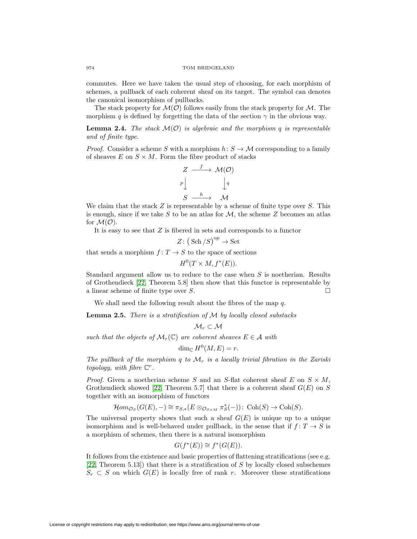commutes. Here we have taken the usual step of choosing, for each morphism of schemes, a pullback of each coherent sheaf on its target. The symbol can denotes the canonical isomorphism of pullbacks.

The stack property for  $\mathcal{M}(\mathcal{O})$  follows easily from the stack property for  $\mathcal{M}$ . The morphism q is defined by forgetting the data of the section  $\gamma$  in the obvious way.

<span id="page-5-0"></span>**Lemma 2.4.** The stack  $\mathcal{M}(\mathcal{O})$  is algebraic and the morphism q is representable and of finite type.

*Proof.* Consider a scheme S with a morphism  $h: S \to M$  corresponding to a family of sheaves  $E$  on  $S \times M$ . Form the fibre product of stacks

$$
Z \xrightarrow{f} \mathcal{M}(\mathcal{O})
$$
  
\n
$$
p \downarrow \qquad \qquad \downarrow q
$$
  
\n
$$
S \xrightarrow{h} \mathcal{M}
$$

We claim that the stack  $Z$  is representable by a scheme of finite type over  $S$ . This is enough, since if we take S to be an atlas for  $\mathcal{M}$ , the scheme Z becomes an atlas for  $\mathcal{M}(\mathcal{O})$ .

It is easy to see that  $Z$  is fibered in sets and corresponds to a functor

$$
Z\colon\big(\operatorname{Sch}/S\big)^{\operatorname{op}}\to\operatorname{Set}
$$

that sends a morphism  $f: T \to S$  to the space of sections

$$
H^0(T \times M, f^*(E)).
$$

Standard argument allow us to reduce to the case when S is noetherian. Results of Grothendieck [\[22,](#page-29-9) Theorem 5.8] then show that this functor is representable by a linear scheme of finite type over S.  $\Box$ 

We shall need the following result about the fibres of the map  $q$ .

<span id="page-5-1"></span>**Lemma 2.5.** There is a stratification of M by locally closed substacks

$$
\mathcal{M}_r\subset \mathcal{M}
$$

such that the objects of  $\mathcal{M}_r(\mathbb{C})$  are coherent sheaves  $E \in \mathcal{A}$  with

$$
\dim_{\mathbb{C}} H^0(M, E) = r.
$$

The pullback of the morphism q to  $\mathcal{M}_r$  is a locally trivial fibration in the Zariski topology, with fibre  $\mathbb{C}^r$ .

*Proof.* Given a noetherian scheme S and an S-flat coherent sheaf E on  $S \times M$ , Grothendieck showed [\[22,](#page-29-9) Theorem 5.7] that there is a coherent sheaf  $G(E)$  on S together with an isomorphism of functors

$$
\mathcal{H}om_{\mathcal{O}_S}(G(E),-)\cong \pi_{S,*}(E\otimes_{\mathcal{O}_{S\times M}}\pi_S^*(-))\colon \operatorname{Coh}(S)\to \operatorname{Coh}(S).
$$

The universal property shows that such a sheaf  $G(E)$  is unique up to a unique isomorphism and is well-behaved under pullback, in the sense that if  $f: T \to S$  is a morphism of schemes, then there is a natural isomorphism

$$
G(f^*(E)) \cong f^*(G(E)).
$$

It follows from the existence and basic properties of flattening stratifications (see e.g. [\[22,](#page-29-9) Theorem 5.13]) that there is a stratification of S by locally closed subschemes  $S_r \subset S$  on which  $G(E)$  is locally free of rank r. Moreover these stratifications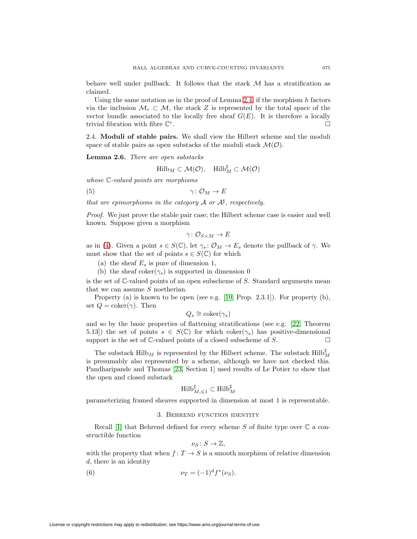behave well under pullback. It follows that the stack  $\mathcal M$  has a stratification as claimed.

Using the same notation as in the proof of Lemma [2.4,](#page-5-0) if the morphism  $h$  factors via the inclusion  $\mathcal{M}_r \subset \mathcal{M}$ , the stack Z is represented by the total space of the vector bundle associated to the locally free sheaf  $G(E)$ . It is therefore a locally trivial fibration with fibre  $\mathbb{C}^r$ .

2.4. **Moduli of stable pairs.** We shall view the Hilbert scheme and the moduli space of stable pairs as open substacks of the moduli stack  $\mathcal{M}(\mathcal{O})$ .

<span id="page-6-1"></span>**Lemma 2.6.** There are open substacks

$$
\mathrm{Hilb}_{M} \subset \mathcal{M}(\mathcal{O}), \quad \mathrm{Hilb}_{M}^{\sharp} \subset \mathcal{M}(\mathcal{O})
$$

whose C-valued points are morphisms

$$
\gamma: \mathcal{O}_M \to E
$$

that are epimorphisms in the category  $\mathcal A$  or  $\mathcal A^\sharp$ , respectively.

Proof. We just prove the stable pair case; the Hilbert scheme case is easier and well known. Suppose given a morphism

$$
\gamma\colon \mathcal{O}_{S\times M}\to E
$$

as in [\(4\)](#page-4-2). Given a point  $s \in S(\mathbb{C})$ , let  $\gamma_s : \mathcal{O}_M \to E_s$  denote the pullback of  $\gamma$ . We must show that the set of points  $s \in S(\mathbb{C})$  for which

(a) the sheaf  $E_s$  is pure of dimension 1,

(b) the sheaf coker( $\gamma_s$ ) is supported in dimension 0

is the set of C-valued points of an open subscheme of S. Standard arguments mean that we can assume S noetherian.

Property (a) is known to be open (see e.g. [\[10,](#page-28-4) Prop. 2.3.1]). For property (b), set  $Q = \text{coker}(\gamma)$ . Then

$$
Q_s \cong \mathrm{coker}(\gamma_s)
$$

and so by the basic properties of flattening stratifications (see e.g. [\[22,](#page-29-9) Theorem 5.13) the set of points  $s \in S(\mathbb{C})$  for which coker $(\gamma_s)$  has positive-dimensional support is the set of  $\mathbb C$ -valued points of a closed subscheme of  $S$ .

The substack  $\mathrm{Hilb}_M$  is represented by the Hilbert scheme. The substack  $\mathrm{Hilb}_M^\sharp$ is presumably also represented by a scheme, although we have not checked this. Pandharipande and Thomas [\[23,](#page-29-3) Section 1] used results of Le Potier to show that the open and closed substack

$$
\operatorname{Hilb}_{M,\leq 1}^\sharp\subset \operatorname{Hilb}_M^\sharp
$$

parameterizing framed sheaves supported in dimension at most 1 is representable.

### 3. Behrend function identity

Recall [\[1\]](#page-28-0) that Behrend defined for every scheme S of finite type over  $\mathbb C$  a constructible function

$$
\nu_S\colon S\to\mathbb{Z},
$$

with the property that when  $f: T \to S$  is a smooth morphism of relative dimension d, there is an identity

<span id="page-6-0"></span>(6) 
$$
\nu_T = (-1)^d f^*(\nu_S).
$$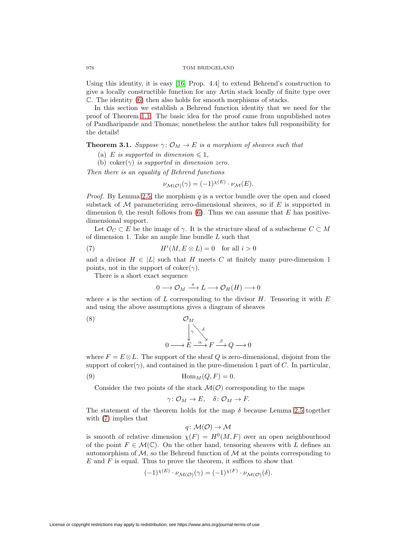#### 976 TOM BRIDGELAND

Using this identity, it is easy [\[16,](#page-29-7) Prop. 4.4] to extend Behrend's construction to give a locally constructible function for any Artin stack locally of finite type over C. The identity [\(6\)](#page-6-0) then also holds for smooth morphisms of stacks.

In this section we establish a Behrend function identity that we need for the proof of Theorem [1.1.](#page-2-0) The basic idea for the proof came from unpublished notes of Pandharipande and Thomas; nonetheless the author takes full responsibility for the details!

# <span id="page-7-3"></span>**Theorem 3.1.** Suppose  $\gamma: \mathcal{O}_M \to E$  is a morphism of sheaves such that

- (a) E is supported in dimension  $\leq 1$ ,
- (b) coker( $\gamma$ ) is supported in dimension zero.

Then there is an equality of Behrend functions

$$
\nu_{\mathcal{M}(\mathcal{O})}(\gamma) = (-1)^{\chi(E)} \cdot \nu_{\mathcal{M}}(E).
$$

*Proof.* By Lemma [2.5,](#page-5-1) the morphism  $q$  is a vector bundle over the open and closed substack of  $\mathcal M$  parameterizing zero-dimensional sheaves, so if E is supported in dimension 0, the result follows from  $(6)$ . Thus we can assume that E has positivedimensional support.

Let  $\mathcal{O}_C \subset E$  be the image of  $\gamma$ . It is the structure sheaf of a subscheme  $C \subset M$ of dimension 1. Take an ample line bundle L such that

<span id="page-7-0"></span>(7) 
$$
H^{i}(M, E \otimes L) = 0 \text{ for all } i > 0
$$

and a divisor  $H \in |L|$  such that H meets C at finitely many pure-dimension 1 points, not in the support of coker( $\gamma$ ).

There is a short exact sequence

$$
0 \longrightarrow \mathcal{O}_M \stackrel{s}{\longrightarrow} L \longrightarrow \mathcal{O}_H(H) \longrightarrow 0
$$

where s is the section of L corresponding to the divisor  $H$ . Tensoring it with E and using the above assumptions gives a diagram of sheaves

<span id="page-7-2"></span>(8) 
$$
\mathcal{O}_M
$$

$$
0 \longrightarrow E \xrightarrow{\alpha} F \xrightarrow{\beta} Q \longrightarrow 0
$$

where  $F = E \otimes L$ . The support of the sheaf Q is zero-dimensional, disjoint from the support of  $coker(\gamma)$ , and contained in the pure-dimension 1 part of C. In particular,

<span id="page-7-1"></span>(9) 
$$
\operatorname{Hom}_M(Q, F) = 0.
$$

Consider the two points of the stack  $\mathcal{M}(\mathcal{O})$  corresponding to the maps

$$
\gamma\colon \mathcal{O}_M\to E,\quad \delta\colon \mathcal{O}_M\to F.
$$

The statement of the theorem holds for the map  $\delta$  because Lemma [2.5](#page-5-1) together with [\(7\)](#page-7-0) implies that

$$
q\colon \mathcal{M}(\mathcal{O})\to \mathcal{M}
$$

is smooth of relative dimension  $\chi(F) = H^0(M, F)$  over an open neighbourhood of the point  $F \in \mathcal{M}(\mathbb{C})$ . On the other hand, tensoring sheaves with L defines an automorphism of  $\mathcal{M}$ , so the Behrend function of  $\mathcal M$  at the points corresponding to  $E$  and  $F$  is equal. Thus to prove the theorem, it suffices to show that

$$
(-1)^{\chi(E)} \cdot \nu_{\mathcal{M}(\mathcal{O})}(\gamma) = (-1)^{\chi(F)} \cdot \nu_{\mathcal{M}(\mathcal{O})}(\delta).
$$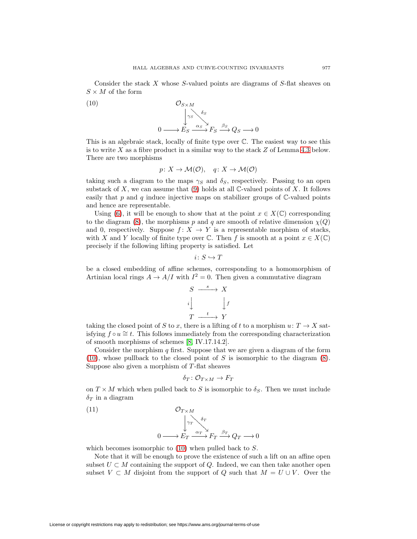Consider the stack  $X$  whose  $S$ -valued points are diagrams of  $S$ -flat sheaves on  $S\times M$  of the form

<span id="page-8-0"></span>(10)  
\n
$$
\mathcal{O}_{S \times M}
$$
\n
$$
\downarrow_{S} \mathcal{O}_{S}
$$
\n
$$
0 \longrightarrow E_{S} \xrightarrow{\alpha_{S}} F_{S} \xrightarrow{\beta_{S}} Q_{S} \longrightarrow 0
$$

This is an algebraic stack, locally of finite type over C. The easiest way to see this is to write  $X$  as a fibre product in a similar way to the stack  $Z$  of Lemma [4.3](#page-13-0) below. There are two morphisms

$$
p: X \to \mathcal{M}(\mathcal{O}), \quad q: X \to \mathcal{M}(\mathcal{O})
$$

taking such a diagram to the maps  $\gamma_S$  and  $\delta_S$ , respectively. Passing to an open substack of X, we can assume that  $(9)$  holds at all C-valued points of X. It follows easily that p and q induce injective maps on stabilizer groups of  $\mathbb{C}\text{-valued points}$ and hence are representable.

Using [\(6\)](#page-6-0), it will be enough to show that at the point  $x \in X(\mathbb{C})$  corresponding to the diagram [\(8\)](#page-7-2), the morphisms p and q are smooth of relative dimension  $\chi(Q)$ and 0, respectively. Suppose  $f: X \to Y$  is a representable morphism of stacks, with X and Y locally of finite type over  $\mathbb C$ . Then f is smooth at a point  $x \in X(\mathbb C)$ precisely if the following lifting property is satisfied. Let

$$
i\colon S\hookrightarrow T
$$

be a closed embedding of affine schemes, corresponding to a homomorphism of Artinian local rings  $A \to A/I$  with  $I^2 = 0$ . Then given a commutative diagram

$$
S \xrightarrow{s} X
$$
  
\n
$$
i \downarrow \qquad \qquad \downarrow f
$$
  
\n
$$
T \xrightarrow{t} Y
$$

taking the closed point of S to x, there is a lifting of t to a morphism  $u: T \to X$  satisfying  $f \circ u \ncong t$ . This follows immediately from the corresponding characterization of smooth morphisms of schemes [\[8,](#page-28-5) IV.17.14.2].

Consider the morphism q first. Suppose that we are given a diagram of the form  $(10)$ , whose pullback to the closed point of S is isomorphic to the diagram  $(8)$ . Suppose also given a morphism of  $T$ -flat sheaves

$$
\delta_T\colon \mathcal{O}_{T\times M}\to F_T
$$

on  $T \times M$  which when pulled back to S is isomorphic to  $\delta_S$ . Then we must include  $\delta_T$  in a diagram

<span id="page-8-1"></span>

which becomes isomorphic to  $(10)$  when pulled back to S.

Note that it will be enough to prove the existence of such a lift on an affine open subset  $U \subset M$  containing the support of Q. Indeed, we can then take another open subset  $V \subset M$  disjoint from the support of Q such that  $M = U \cup V$ . Over the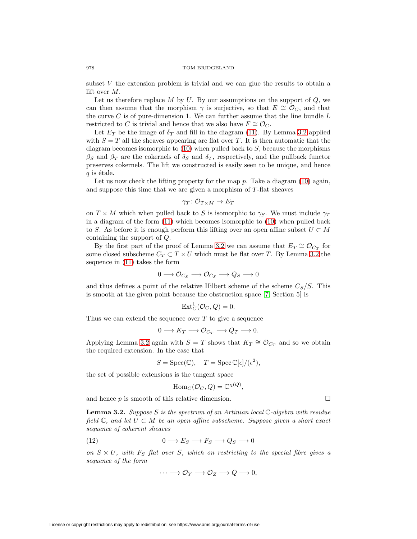subset V the extension problem is trivial and we can glue the results to obtain a lift over M.

Let us therefore replace  $M$  by  $U$ . By our assumptions on the support of  $Q$ , we can then assume that the morphism  $\gamma$  is surjective, so that  $E \cong \mathcal{O}_C$ , and that the curve  $C$  is of pure-dimension 1. We can further assume that the line bundle  $L$ restricted to C is trivial and hence that we also have  $F \cong \mathcal{O}_C$ .

Let  $E_T$  be the image of  $\delta_T$  and fill in the diagram [\(11\)](#page-8-1). By Lemma [3.2](#page-9-0) applied with  $S = T$  all the sheaves appearing are flat over T. It is then automatic that the diagram becomes isomorphic to  $(10)$  when pulled back to S, because the morphisms  $\beta_S$  and  $\beta_T$  are the cokernels of  $\delta_S$  and  $\delta_T$ , respectively, and the pullback functor preserves cokernels. The lift we constructed is easily seen to be unique, and hence  $q$  is étale.

Let us now check the lifting property for the map  $p$ . Take a diagram [\(10\)](#page-8-0) again, and suppose this time that we are given a morphism of  $T$ -flat sheaves

$$
\gamma_T \colon \mathcal{O}_{T \times M} \to E_T
$$

on  $T \times M$  which when pulled back to S is isomorphic to  $\gamma_S$ . We must include  $\gamma_T$ in a diagram of the form [\(11\)](#page-8-1) which becomes isomorphic to [\(10\)](#page-8-0) when pulled back to S. As before it is enough perform this lifting over an open affine subset  $U \subset M$ containing the support of Q.

By the first part of the proof of Lemma [3.2](#page-9-0) we can assume that  $E_T \cong \mathcal{O}_{C_T}$  for some closed subscheme  $C_T \subset T \times U$  which must be flat over T. By Lemma [3.2](#page-9-0) the sequence in [\(11\)](#page-8-1) takes the form

$$
0\longrightarrow \mathcal{O}_{C_S}\longrightarrow \mathcal{O}_{C_S}\longrightarrow Q_S\longrightarrow 0
$$

and thus defines a point of the relative Hilbert scheme of the scheme  $C_S/S$ . This is smooth at the given point because the obstruction space [\[7,](#page-28-6) Section 5] is

$$
\text{Ext}^1_C(\mathcal{O}_C, Q) = 0.
$$

Thus we can extend the sequence over  $T$  to give a sequence

$$
0 \longrightarrow K_T \longrightarrow \mathcal{O}_{C_T} \longrightarrow Q_T \longrightarrow 0.
$$

Applying Lemma [3.2](#page-9-0) again with  $S = T$  shows that  $K_T \cong \mathcal{O}_{C_T}$  and so we obtain the required extension. In the case that

$$
S = \operatorname{Spec}(\mathbb{C}), \quad T = \operatorname{Spec} \mathbb{C}[\epsilon]/(\epsilon^2),
$$

the set of possible extensions is the tangent space

$$
\mathrm{Hom}_C(\mathcal{O}_C, Q) = \mathbb{C}^{\chi(Q)},
$$

and hence  $p$  is smooth of this relative dimension.  $\Box$ 

<span id="page-9-0"></span>**Lemma 3.2.** Suppose S is the spectrum of an Artinian local  $\mathbb{C}$ -algebra with residue field  $\mathbb{C}$ , and let  $U \subset M$  be an open affine subscheme. Suppose given a short exact sequence of coherent sheaves

<span id="page-9-1"></span>
$$
(12) \t\t 0 \longrightarrow E_S \longrightarrow F_S \longrightarrow Q_S \longrightarrow 0
$$

on  $S \times U$ , with  $F_S$  flat over S, which on restricting to the special fibre gives a sequence of the form

$$
\cdots \longrightarrow \mathcal{O}_Y \longrightarrow \mathcal{O}_Z \longrightarrow Q \longrightarrow 0,
$$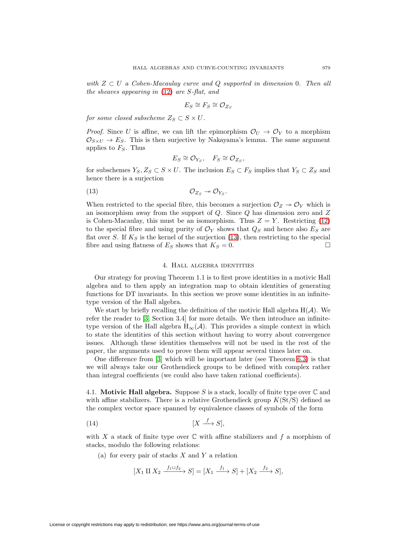with  $Z \subset U$  a Cohen-Macaulay curve and Q supported in dimension 0. Then all the sheaves appearing in [\(12\)](#page-9-1) are S-flat, and

$$
E_S \cong F_S \cong \mathcal{O}_{Z_S}
$$

for some closed subscheme  $Z_S \subset S \times U$ .

*Proof.* Since U is affine, we can lift the epimorphism  $\mathcal{O}_U \to \mathcal{O}_Y$  to a morphism  $\mathcal{O}_{S\times U} \to E_S$ . This is then surjective by Nakayama's lemma. The same argument applies to  $F_S$ . Thus

$$
E_S \cong \mathcal{O}_{Y_S}, \quad F_S \cong \mathcal{O}_{Z_S},
$$

for subschemes  $Y_S, Z_S \subset S \times U$ . The inclusion  $E_S \subset F_S$  implies that  $Y_S \subset Z_S$  and hence there is a surjection

<span id="page-10-0"></span>
$$
\mathcal{O}_{Z_S} \twoheadrightarrow \mathcal{O}_{Y_S}.
$$

When restricted to the special fibre, this becomes a surjection  $\mathcal{O}_Z \rightarrow \mathcal{O}_Y$  which is an isomorphism away from the support of  $Q$ . Since  $Q$  has dimension zero and  $Z$ is Cohen-Macaulay, this must be an isomorphism. Thus  $Z = Y$ . Restricting [\(12\)](#page-9-1) to the special fibre and using purity of  $\mathcal{O}_Y$  shows that  $Q_S$  and hence also  $E_S$  are flat over S. If  $K_S$  is the kernel of the surjection [\(13\)](#page-10-0), then restricting to the special fibre and using flatness of  $E_S$  shows that  $K_S = 0$ .

### 4. Hall algebra identities

Our strategy for proving Theorem 1.1 is to first prove identities in a motivic Hall algebra and to then apply an integration map to obtain identities of generating functions for DT invariants. In this section we prove some identities in an infinitetype version of the Hall algebra.

We start by briefly recalling the definition of the motivic Hall algebra  $H(\mathcal{A})$ . We refer the reader to [\[3,](#page-28-7) Section 3.4] for more details. We then introduce an infinitetype version of the Hall algebra  $H_{\infty}(\mathcal{A})$ . This provides a simple context in which to state the identities of this section without having to worry about convergence issues. Although these identities themselves will not be used in the rest of the paper, the arguments used to prove them will appear several times later on.

One difference from [\[3\]](#page-28-7) which will be important later (see Theorem [6.3\)](#page-21-0) is that we will always take our Grothendieck groups to be defined with complex rather than integral coefficients (we could also have taken rational coefficients).

4.1. **Motivic Hall algebra.** Suppose S is a stack, locally of finite type over  $\mathbb C$  and with affine stabilizers. There is a relative Grothendieck group  $K(\text{St}/\text{S})$  defined as the complex vector space spanned by equivalence classes of symbols of the form

<span id="page-10-1"></span>
$$
(14) \t\t\t [X \xrightarrow{f} S],
$$

with X a stack of finite type over  $\mathbb C$  with affine stabilizers and f a morphism of stacks, modulo the following relations:

(a) for every pair of stacks  $X$  and  $Y$  a relation

$$
[X_1 \amalg X_2 \xrightarrow{f_1 \sqcup f_2} S] = [X_1 \xrightarrow{f_1} S] + [X_2 \xrightarrow{f_2} S],
$$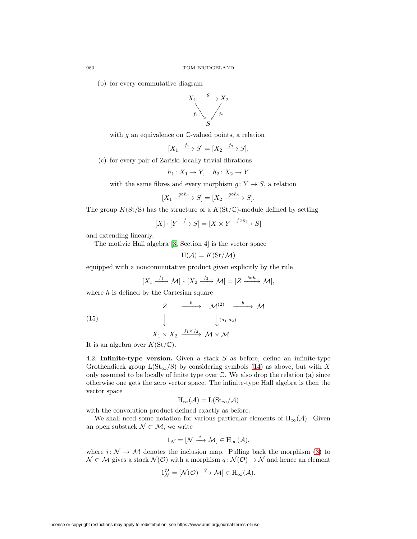(b) for every commutative diagram



with  $g$  an equivalence on  $\mathbb{C}\text{-valued points}$ , a relation

$$
[X_1 \xrightarrow{f_1} S] = [X_2 \xrightarrow{f_2} S],
$$

(c) for every pair of Zariski locally trivial fibrations

$$
h_1 \colon X_1 \to Y, \quad h_2 \colon X_2 \to Y
$$

with the same fibres and every morphism  $g: Y \to S$ , a relation

$$
[X_1 \xrightarrow{g \circ h_1} S] = [X_2 \xrightarrow{g \circ h_2} S].
$$

The group  $K(\text{St}/\text{S})$  has the structure of a  $K(\text{St}/\mathbb{C})$ -module defined by setting

$$
[X] \cdot [Y \xrightarrow{f} S] = [X \times Y \xrightarrow{f \circ \pi_2} S]
$$

and extending linearly.

The motivic Hall algebra [\[3,](#page-28-7) Section 4] is the vector space

$$
H(\mathcal{A}) = K(\mathrm{St}/\mathcal{M})
$$

equipped with a noncommutative product given explicitly by the rule

$$
[X_1 \xrightarrow{f_1} \mathcal{M}] * [X_2 \xrightarrow{f_2} \mathcal{M}] = [Z \xrightarrow{bob} \mathcal{M}],
$$

where  $h$  is defined by the Cartesian square

(15) 
$$
Z \xrightarrow{h} \mathcal{M}^{(2)} \xrightarrow{b} \mathcal{M}
$$

$$
\downarrow \qquad \qquad \downarrow (a_1, a_2)
$$

$$
X_1 \times X_2 \xrightarrow{f_1 \times f_2} \mathcal{M} \times \mathcal{M}
$$

It is an algebra over  $K(\mathrm{St}/\mathbb{C})$ .

4.2. **Infinite-type version.** Given a stack S as before, define an infinite-type Grothendieck group  $L(\text{St}_{\infty}/S)$  by considering symbols [\(14\)](#page-10-1) as above, but with X only assumed to be locally of finite type over  $\mathbb C$ . We also drop the relation (a) since otherwise one gets the zero vector space. The infinite-type Hall algebra is then the vector space

$$
H_{\infty}(\mathcal{A}) = L(\mathrm{St}_{\infty}/\mathcal{A})
$$

with the convolution product defined exactly as before.

We shall need some notation for various particular elements of  $H_{\infty}(\mathcal{A})$ . Given an open substack  $\mathcal{N} \subset \mathcal{M}$ , we write

$$
1_{\mathcal{N}} = [\mathcal{N} \xrightarrow{i} \mathcal{M}] \in H_{\infty}(\mathcal{A}),
$$

where  $i: \mathcal{N} \to \mathcal{M}$  denotes the inclusion map. Pulling back the morphism [\(3\)](#page-4-3) to  $\mathcal{N} \subset \mathcal{M}$  gives a stack  $\mathcal{N}(\mathcal{O})$  with a morphism  $q: \mathcal{N}(\mathcal{O}) \to \mathcal{N}$  and hence an element

$$
1_{\mathcal{N}}^{\mathcal{O}} = [\mathcal{N}(\mathcal{O}) \xrightarrow{q} \mathcal{M}] \in H_{\infty}(\mathcal{A}).
$$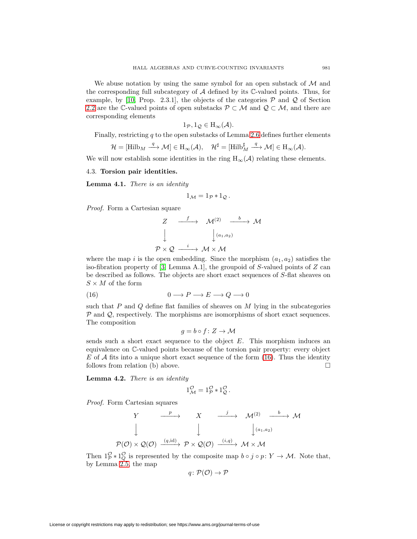We abuse notation by using the same symbol for an open substack of  $\mathcal M$  and the corresponding full subcategory of  $A$  defined by its  $C$ -valued points. Thus, for example, by [\[10,](#page-28-4) Prop. 2.3.1], the objects of the categories  $P$  and  $Q$  of Section [2.2](#page-3-1) are the C-valued points of open substacks  $\mathcal{P} \subset \mathcal{M}$  and  $\mathcal{Q} \subset \mathcal{M}$ , and there are corresponding elements

$$
1_{\mathcal{P}}, 1_{\mathcal{Q}} \in \mathrm{H}_{\infty}(\mathcal{A}).
$$

Finally, restricting  $q$  to the open substacks of Lemma [2.6](#page-6-1) defines further elements

$$
\mathcal{H} = [\mathop{\rm Hilb}\nolimits_M \xrightarrow{q} \mathcal{M}] \in \mathop{\rm H}_\infty(\mathcal{A}), \quad \mathcal{H}^\sharp = [\mathop{\rm Hilb}\nolimits_M^\sharp \xrightarrow{q} \mathcal{M}] \in \mathop{\rm H}_\infty(\mathcal{A}).
$$

We will now establish some identities in the ring  $H_{\infty}(\mathcal{A})$  relating these elements.

## 4.3. **Torsion pair identities.**

<span id="page-12-1"></span>**Lemma 4.1.** There is an identity

$$
1_{\mathcal{M}} = 1_{\mathcal{P}} * 1_{\mathcal{Q}}.
$$

Proof. Form a Cartesian square

$$
\begin{array}{ccc}\nZ & \xrightarrow{f} & \mathcal{M}^{(2)} & \xrightarrow{b} & \mathcal{M} \\
\downarrow & & \downarrow^{(a_1, a_2)} & \\
\mathcal{P} \times \mathcal{Q} & \xrightarrow{i} & \mathcal{M} \times \mathcal{M}\n\end{array}
$$

where the map i is the open embedding. Since the morphism  $(a_1, a_2)$  satisfies the iso-fibration property of [\[3,](#page-28-7) Lemma A.1], the groupoid of S-valued points of  $Z$  can be described as follows. The objects are short exact sequences of S-flat sheaves on  $S \times M$  of the form

<span id="page-12-0"></span>(16) 
$$
0 \longrightarrow P \longrightarrow E \longrightarrow Q \longrightarrow 0
$$

such that  $P$  and  $Q$  define flat families of sheaves on  $M$  lying in the subcategories  $P$  and  $Q$ , respectively. The morphisms are isomorphisms of short exact sequences. The composition

$$
g = b \circ f \colon Z \to \mathcal{M}
$$

sends such a short exact sequence to the object  $E$ . This morphism induces an equivalence on C-valued points because of the torsion pair property: every object  $E$  of  $\mathcal A$  fits into a unique short exact sequence of the form [\(16\)](#page-12-0). Thus the identity follows from relation (b) above.  $\Box$ 

<span id="page-12-2"></span>**Lemma 4.2.** There is an identity

$$
1^{\mathcal{O}}_{\mathcal{M}} = 1^{\mathcal{O}}_{\mathcal{P}} * 1^{\mathcal{O}}_{\mathcal{Q}}.
$$

Proof. Form Cartesian squares

$$
\begin{array}{ccccccc}\nY & \xrightarrow{p} & X & \xrightarrow{j} & \mathcal{M}^{(2)} & \xrightarrow{b} & \mathcal{M}^{(2)} \\
& & \downarrow & & \downarrow & & \downarrow & & \downarrow & \\
\mathcal{P}(\mathcal{O}) \times \mathcal{Q}(\mathcal{O}) & \xrightarrow{(q, id)} & \mathcal{P} \times \mathcal{Q}(\mathcal{O}) & \xrightarrow{(i,q)} & \mathcal{M} \times \mathcal{M}\n\end{array}
$$

Then  $1_p^{\circ} * 1_Q^{\circ}$  is represented by the composite map  $b \circ j \circ p: Y \to M$ . Note that, by Lemma [2.5,](#page-5-1) the map

$$
q\colon \mathcal{P}(\mathcal{O}) \to \mathcal{P}
$$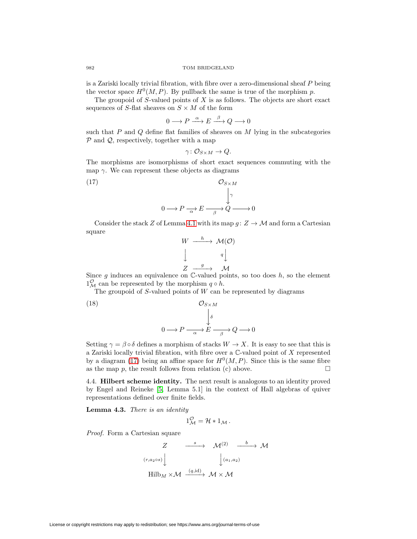is a Zariski locally trivial fibration, with fibre over a zero-dimensional sheaf P being the vector space  $H^0(M, P)$ . By pullback the same is true of the morphism p.

The groupoid of  $S$ -valued points of  $X$  is as follows. The objects are short exact sequences of S-flat sheaves on  $S \times M$  of the form

$$
0 \longrightarrow P \stackrel{\alpha}{\longrightarrow} E \stackrel{\beta}{\longrightarrow} Q \longrightarrow 0
$$

such that  $P$  and  $Q$  define flat families of sheaves on  $M$  lying in the subcategories  $P$  and  $Q$ , respectively, together with a map

$$
\gamma\colon \mathcal{O}_{S\times M}\to Q.
$$

The morphisms are isomorphisms of short exact sequences commuting with the map  $\gamma$ . We can represent these objects as diagrams

<span id="page-13-1"></span>(17) 
$$
\mathcal{O}_{S \times M}
$$

$$
0 \longrightarrow P \longrightarrow E \longrightarrow Q \longrightarrow 0
$$

Consider the stack Z of Lemma [4.1](#page-12-1) with its map  $g: Z \to M$  and form a Cartesian square

$$
W \xrightarrow{h} \mathcal{M}(\mathcal{O})
$$

$$
\downarrow \qquad \qquad q \downarrow
$$

$$
Z \xrightarrow{g} \mathcal{M}
$$

Since  $g$  induces an equivalence on  $\mathbb{C}$ -valued points, so too does  $h$ , so the element  $\frac{1}{\alpha}$  can be represented by the morphism  $q \circ h$ .

The groupoid of  $S$ -valued points of  $W$  can be represented by diagrams

(18) 
$$
\mathcal{O}_{S \times M}
$$

$$
\downarrow \delta
$$

$$
0 \longrightarrow P \xrightarrow[\alpha]{\sim} E \xrightarrow[\beta]{\sim} Q \longrightarrow 0
$$

Setting  $\gamma = \beta \circ \delta$  defines a morphism of stacks  $W \to X$ . It is easy to see that this is a Zariski locally trivial fibration, with fibre over a C-valued point of X represented by a diagram [\(17\)](#page-13-1) being an affine space for  $H^0(M, P)$ . Since this is the same fibre as the map  $p$ , the result follows from relation (c) above.

4.4. **Hilbert scheme identity.** The next result is analogous to an identity proved by Engel and Reineke [\[5,](#page-28-8) Lemma 5.1] in the context of Hall algebras of quiver representations defined over finite fields.

<span id="page-13-0"></span>**Lemma 4.3.** There is an identity

$$
1_{\mathcal{M}}^{\mathcal{O}} = \mathcal{H} * 1_{\mathcal{M}}.
$$

Proof. Form a Cartesian square

$$
Z \xrightarrow{s} \mathcal{M}^{(2)} \xrightarrow{b} \mathcal{M}
$$
  
\n $(r, a_2 \circ s)$   
\n $\downarrow (a_1, a_2)$   
\n $\downarrow (a_1, a_2)$   
\n $\text{Hilb}_M \times \mathcal{M} \xrightarrow{(q, id)} \mathcal{M} \times \mathcal{M}$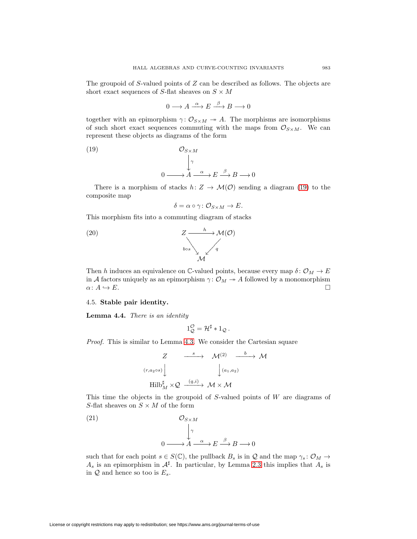The groupoid of S-valued points of  $Z$  can be described as follows. The objects are short exact sequences of S-flat sheaves on  $S \times M$ 

$$
0 \longrightarrow A \xrightarrow{\alpha} E \xrightarrow{\beta} B \longrightarrow 0
$$

together with an epimorphism  $\gamma: \mathcal{O}_{S \times M} \to A$ . The morphisms are isomorphisms of such short exact sequences commuting with the maps from  $\mathcal{O}_{S\times M}$ . We can represent these objects as diagrams of the form

<span id="page-14-0"></span>(19) 
$$
\mathcal{O}_{S \times M}
$$

$$
\downarrow^{\gamma}
$$

$$
0 \longrightarrow A \longrightarrow E \longrightarrow^{\beta} B \longrightarrow 0
$$

There is a morphism of stacks  $h: Z \to \mathcal{M}(\mathcal{O})$  sending a diagram [\(19\)](#page-14-0) to the composite map

$$
\delta = \alpha \circ \gamma \colon \mathcal{O}_{S \times M} \to E.
$$

This morphism fits into a commuting diagram of stacks



Then h induces an equivalence on C-valued points, because every map  $\delta: \mathcal{O}_M \to E$ in A factors uniquely as an epimorphism  $\gamma: \mathcal{O}_M \to A$  followed by a monomorphism  $\alpha\colon A\hookrightarrow E.$  $\hookrightarrow E$ .

# 4.5. **Stable pair identity.**

<span id="page-14-1"></span>**Lemma 4.4.** There is an identity

$$
1_Q^{\mathcal{O}} = \mathcal{H}^{\sharp} * 1_Q.
$$

Proof. This is similar to Lemma [4.3.](#page-13-0) We consider the Cartesian square

$$
Z \xrightarrow{s} \mathcal{M}^{(2)} \xrightarrow{b} \mathcal{M}
$$
  
\n $(r, a_2 \circ s)$   
\n $\downarrow$   $(a_1, a_2)$   
\n $\downarrow$   $(a_1, a_2)$   
\n $\text{Hilb}_M^{\sharp} \times \mathcal{Q} \xrightarrow{(q, i)} \mathcal{M} \times \mathcal{M}$ 

This time the objects in the groupoid of  $S$ -valued points of  $W$  are diagrams of S-flat sheaves on  $S \times M$  of the form

(21) 
$$
\mathcal{O}_{S \times M}
$$

$$
\downarrow^{\gamma}
$$

$$
0 \longrightarrow A \longrightarrow E \longrightarrow^{\beta} B \longrightarrow 0
$$

such that for each point  $s \in S(\mathbb{C})$ , the pullback  $B_s$  is in Q and the map  $\gamma_s : \mathcal{O}_M \to$  $A_s$  is an epimorphism in  $\mathcal{A}^\sharp$ . In particular, by Lemma 2.3 this implies that  $A_s$  is in  $Q$  and hence so too is  $E_s$ .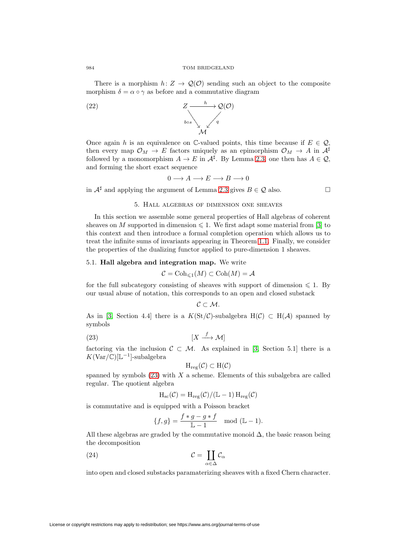There is a morphism  $h: Z \to \mathcal{Q}(\mathcal{O})$  sending such an object to the composite morphism  $\delta = \alpha \circ \gamma$  as before and a commutative diagram



Once again h is an equivalence on C-valued points, this time because if  $E \in \mathcal{Q}$ , then every map  $\mathcal{O}_M \to E$  factors uniquely as an epimorphism  $\mathcal{O}_M \to A$  in  $\mathcal{A}^{\sharp}$ followed by a monomorphism  $A \to E$  in  $\mathcal{A}^{\sharp}$ . By Lemma 2.3, one then has  $A \in \mathcal{Q}$ , and forming the short exact sequence

$$
0\longrightarrow A\longrightarrow E\longrightarrow B\longrightarrow 0
$$

in  $\mathcal{A}^{\sharp}$  and applying the argument of Lemma 2.3 gives  $B \in \mathcal{Q}$  also.

$$
\Box
$$

### 5. Hall algebras of dimension one sheaves

In this section we assemble some general properties of Hall algebras of coherent sheaves on M supported in dimension  $\leq 1$ . We first adapt some material from [\[3\]](#page-28-7) to this context and then introduce a formal completion operation which allows us to treat the infinite sums of invariants appearing in Theorem [1.1.](#page-2-0) Finally, we consider the properties of the dualizing functor applied to pure-dimension 1 sheaves.

### 5.1. **Hall algebra and integration map.** We write

$$
\mathcal{C} = \text{Coh}_{\leq 1}(M) \subset \text{Coh}(M) = \mathcal{A}
$$

for the full subcategory consisting of sheaves with support of dimension  $\leq 1$ . By our usual abuse of notation, this corresponds to an open and closed substack

$$
\mathcal{C}\subset \mathcal{M}.
$$

As in [\[3,](#page-28-7) Section 4.4] there is a  $K(\text{St}/\mathcal{C})$ -subalgebra  $H(\mathcal{C}) \subset H(\mathcal{A})$  spanned by symbols

<span id="page-15-0"></span>
$$
(23)\t\t\t\t [X \xrightarrow{f} \mathcal{M}]
$$

factoring via the inclusion  $C \subset M$ . As explained in [\[3,](#page-28-7) Section 5.1] there is a  $K(\text{Var}/\mathbb{C})[\mathbb{L}^{-1}]$ -subalgebra

$$
H_{\mathrm{reg}}(\mathcal{C}) \subset H(\mathcal{C})
$$

spanned by symbols  $(23)$  with X a scheme. Elements of this subalgebra are called regular. The quotient algebra

$$
H_{\rm sc}(\mathcal{C}) = H_{\rm reg}(\mathcal{C})/(\mathbb{L}-1)\, H_{\rm reg}(\mathcal{C})
$$

is commutative and is equipped with a Poisson bracket

$$
\{f,g\} = \frac{f*g - g*f}{\mathbb{L} - 1} \mod (\mathbb{L} - 1).
$$

All these algebras are graded by the commutative monoid  $\Delta$ , the basic reason being the decomposition

<span id="page-15-1"></span>(24) 
$$
\mathcal{C} = \coprod_{\alpha \in \Delta} \mathcal{C}_{\alpha}
$$

into open and closed substacks paramaterizing sheaves with a fixed Chern character.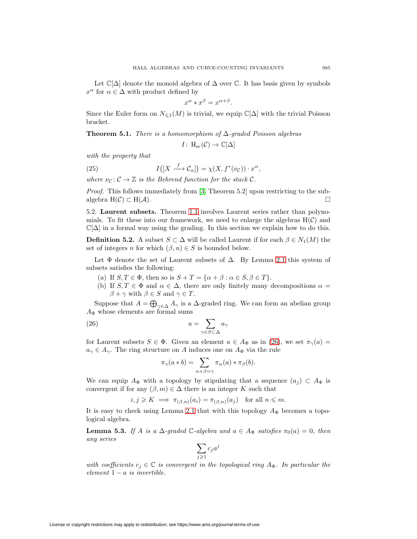Let  $\mathbb{C}[\Delta]$  denote the monoid algebra of  $\Delta$  over  $\mathbb{C}$ . It has basis given by symbols  $x^{\alpha}$  for  $\alpha \in \Delta$  with product defined by

$$
x^{\alpha} * x^{\beta} = x^{\alpha + \beta}.
$$

Since the Euler form on  $N_{\leq 1}(M)$  is trivial, we equip  $\mathbb{C}[\Delta]$  with the trivial Poisson bracket.

**Theorem 5.1.** There is a homomorphism of  $\Delta$ -graded Poisson algebras

 $I: \, \mathrm{H}_{\mathrm{sc}}(\mathcal{C}) \to \mathbb{C}[\Delta]$ 

with the property that

(25) 
$$
I([X \xrightarrow{f} \mathcal{C}_{\alpha}]) = \chi(X, f^{*}(\nu_{\mathcal{C}})) \cdot x^{\alpha},
$$

where  $\nu_c : \mathcal{C} \to \mathbb{Z}$  is the Behrend function for the stack  $\mathcal{C}$ .

Proof. This follows immediately from [\[3,](#page-28-7) Theorem 5.2] upon restricting to the subalgebra  $H(\mathcal{C}) \subset H(\mathcal{A}).$ 

5.2. **Laurent subsets.** Theorem [1.1](#page-2-0) involves Laurent series rather than polynomials. To fit these into our framework, we need to enlarge the algebras  $H(\mathcal{C})$  and  $\mathbb{C}[\Delta]$  in a formal way using the grading. In this section we explain how to do this.

**Definition 5.2.** A subset  $S \subset \Delta$  will be called Laurent if for each  $\beta \in N_1(M)$  the set of integers n for which  $(\beta, n) \in S$  is bounded below.

Let  $\Phi$  denote the set of Laurent subsets of  $\Delta$ . By Lemma [2.1](#page-2-1) this system of subsets satisfies the following:

- (a) If  $S, T \in \Phi$ , then so is  $S + T = {\alpha + \beta : \alpha \in S, \beta \in T}.$
- (b) If  $S, T \in \Phi$  and  $\alpha \in \Delta$ , there are only finitely many decompositions  $\alpha =$  $\beta + \gamma$  with  $\beta \in S$  and  $\gamma \in T$ .

Suppose that  $A = \bigoplus_{\gamma \in \Delta} A_{\gamma}$  is a  $\Delta$ -graded ring. We can form an abelian group  $A_{\Phi}$  whose elements are formal sums

<span id="page-16-0"></span>(26) 
$$
a = \sum_{\gamma \in S \subset \Delta} a_{\gamma}
$$

for Laurent subsets  $S \in \Phi$ . Given an element  $a \in A_{\Phi}$  as in [\(26\)](#page-16-0), we set  $\pi_{\gamma}(a) =$  $a_{\gamma} \in A_{\gamma}$ . The ring structure on A induces one on  $A_{\Phi}$  via the rule

$$
\pi_{\gamma}(a * b) = \sum_{\alpha + \beta = \gamma} \pi_{\alpha}(a) * \pi_{\beta}(b).
$$

We can equip  $A_{\Phi}$  with a topology by stipulating that a sequence  $(a_i) \subset A_{\Phi}$  is convergent if for any  $(\beta, m) \in \Delta$  there is an integer K such that

$$
i, j \geq K \implies \pi_{(\beta,n)}(a_i) = \pi_{(\beta,n)}(a_j) \text{ for all } n \leq m.
$$

It is easy to check using Lemma [2.1](#page-2-1) that with this topology  $A_{\Phi}$  becomes a topological algebra.

<span id="page-16-1"></span>**Lemma 5.3.** If A is a  $\Delta$ -graded C-algebra and  $a \in A_{\Phi}$  satisfies  $\pi_0(a)=0$ , then any series

$$
\sum_{j\geqslant 1}c_ja^j
$$

with coefficients  $c_j \in \mathbb{C}$  is convergent in the topological ring  $A_{\Phi}$ . In particular the element  $1 - a$  is invertible.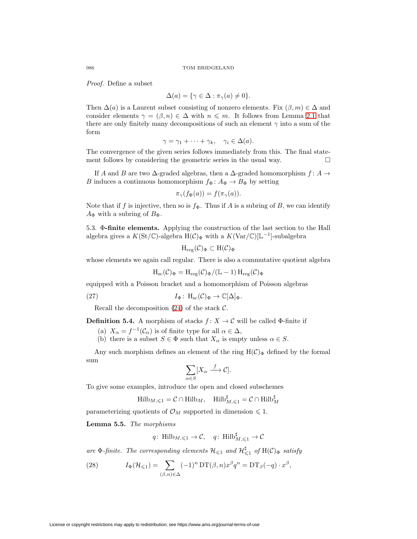Proof. Define a subset

$$
\Delta(a) = \{ \gamma \in \Delta : \pi_{\gamma}(a) \neq 0 \}.
$$

Then  $\Delta(a)$  is a Laurent subset consisting of nonzero elements. Fix  $(\beta, m) \in \Delta$  and consider elements  $\gamma = (\beta, n) \in \Delta$  with  $n \leq m$ . It follows from Lemma [2.1](#page-2-1) that there are only finitely many decompositions of such an element  $\gamma$  into a sum of the form

$$
\gamma = \gamma_1 + \dots + \gamma_k, \quad \gamma_i \in \Delta(a).
$$

The convergence of the given series follows immediately from this. The final statement follows by considering the geometric series in the usual way.  $\Box$ 

If A and B are two  $\Delta$ -graded algebras, then a  $\Delta$ -graded homomorphism  $f: A \rightarrow$ B induces a continuous homomorphism  $f_{\Phi}$ :  $A_{\Phi} \to B_{\Phi}$  by setting

$$
\pi_{\gamma}(f_{\Phi}(a)) = f(\pi_{\gamma}(a)).
$$

Note that if f is injective, then so is  $f_{\Phi}$ . Thus if A is a subring of B, we can identify  $A_{\Phi}$  with a subring of  $B_{\Phi}$ .

5.3. Φ**-finite elements.** Applying the construction of the last section to the Hall algebra gives a  $K(\text{St}/\mathbb{C})$ -algebra  $H(\mathcal{C})_{\Phi}$  with a  $K(\text{Var}/\mathbb{C})[\mathbb{L}^{-1}]$ -subalgebra

$$
H_{\mathrm{reg}}(\mathcal{C})_{\Phi}\subset H(\mathcal{C})_{\Phi}
$$

whose elements we again call regular. There is also a commutative quotient algebra

$$
H_{\rm sc}(\mathcal{C})_\Phi = H_{\rm reg}(\mathcal{C})_\Phi/(\mathbb{L}-1)\, H_{\rm reg}(\mathcal{C})_\Phi
$$

equipped with a Poisson bracket and a homomorphism of Poisson algebras

(27) 
$$
I_{\Phi}: H_{\rm sc}(\mathcal{C})_{\Phi} \to \mathbb{C}[\Delta]_{\Phi}.
$$

Recall the decomposition  $(24)$  of the stack C.

**Definition 5.4.** A morphism of stacks  $f: X \to \mathcal{C}$  will be called  $\Phi$ -finite if

(a)  $X_{\alpha} = f^{-1}(\mathcal{C}_{\alpha})$  is of finite type for all  $\alpha \in \Delta$ ,

(b) there is a subset  $S \in \Phi$  such that  $X_{\alpha}$  is empty unless  $\alpha \in S$ .

Any such morphism defines an element of the ring  $H(\mathcal{C})_{\Phi}$  defined by the formal sum

$$
\sum_{\alpha \in S} [X_{\alpha} \xrightarrow{f} C].
$$

To give some examples, introduce the open and closed subschemes

$$
\text{Hilb}_{M,\leq 1}=\mathcal{C}\cap \text{Hilb}_M, \quad \text{Hilb}_{M,\leq 1}^\sharp=\mathcal{C}\cap \text{Hilb}_M^\sharp
$$

parameterizing quotients of  $\mathcal{O}_M$  supported in dimension  $\leq 1$ .

<span id="page-17-0"></span>**Lemma 5.5.** The morphisms

$$
q\colon \operatorname{Hilb}_{M,\leqslant 1}\to \mathcal{C}, \quad q\colon \operatorname{Hilb}_{M,\leqslant 1}^\sharp\to \mathcal{C}
$$

are  $\Phi$ -finite. The corresponding elements  $\mathcal{H}_{\leq 1}$  and  $\mathcal{H}_{\leq 1}^{\sharp}$  of  $\text{H}(\mathcal{C})_{\Phi}$  satisfy

<span id="page-17-1"></span>(28) 
$$
I_{\Phi}(\mathcal{H}_{\leq 1}) = \sum_{(\beta,n)\in \Delta} (-1)^n \mathop{\rm DT}\nolimits(\beta,n) x^{\beta} q^n = \mathop{\rm DT}\nolimits_{\beta}(-q) \cdot x^{\beta},
$$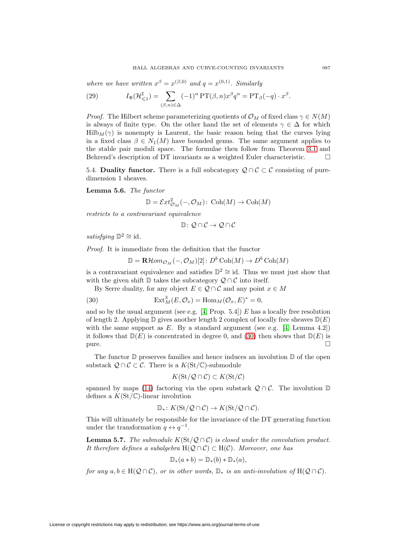where we have written  $x^{\beta} = x^{(\beta,0)}$  and  $q = x^{(0,1)}$ . Similarly

<span id="page-18-1"></span>(29) 
$$
I_{\Phi}(\mathcal{H}_{\leq 1}^{\sharp}) = \sum_{(\beta,n) \in \Delta} (-1)^n \operatorname{PT}(\beta,n) x^{\beta} q^n = \operatorname{PT}_{\beta}(-q) \cdot x^{\beta}.
$$

*Proof.* The Hilbert scheme parameterizing quotients of  $\mathcal{O}_M$  of fixed class  $\gamma \in N(M)$ is always of finite type. On the other hand the set of elements  $\gamma \in \Delta$  for which Hilb $_M(\gamma)$  is nonempty is Laurent, the basic reason being that the curves lying in a fixed class  $\beta \in N_1(M)$  have bounded genus. The same argument applies to the stable pair moduli space. The formulae then follow from Theorem [3.1](#page-7-3) and Behrend's description of DT invariants as a weighted Euler characteristic.

<span id="page-18-2"></span>5.4. **Duality functor.** There is a full subcategory  $\mathcal{Q} \cap \mathcal{C} \subset \mathcal{C}$  consisting of puredimension 1 sheaves.

**Lemma 5.6.** The functor

$$
\mathbb{D} = \mathcal{E}xt_{\mathcal{O}_M}^2(-, \mathcal{O}_M): \operatorname{Coh}(M) \to \operatorname{Coh}(M)
$$

restricts to a contravariant equivalence

$$
\mathbb{D}\colon \mathcal{Q}\cap\mathcal{C}\to \mathcal{Q}\cap\mathcal{C}
$$

satisfying  $\mathbb{D}^2 \cong id$ .

Proof. It is immediate from the definition that the functor

$$
\mathbb{D} = \mathbf{R}\mathcal{H}om_{\mathcal{O}_M}(-,\mathcal{O}_M)[2]: D^b \operatorname{Coh}(M) \to D^b \operatorname{Coh}(M)
$$

is a contravariant equivalence and satisfies  $\mathbb{D}^2 \cong id$ . Thus we must just show that with the given shift  $\mathbb D$  takes the subcategory  $\mathcal Q \cap \mathcal C$  into itself.

By Serre duality, for any object  $E \in \mathcal{Q} \cap \mathcal{C}$  and any point  $x \in M$ 

<span id="page-18-0"></span>(30) 
$$
\operatorname{Ext}^3_M(E, \mathcal{O}_x) = \operatorname{Hom}_M(\mathcal{O}_x, E)^* = 0,
$$

and so by the usual argument (see e.g.  $[4, Prop. 5.4]$  $[4, Prop. 5.4]$ ) E has a locally free resolution of length 2. Applying  $\mathbb D$  gives another length 2 complex of locally free sheaves  $\mathbb D(E)$ with the same support as E. By a standard argument (see e.g. [\[4,](#page-28-9) Lemma 4.2]) it follows that  $D(E)$  is concentrated in degree 0, and [\(30\)](#page-18-0) then shows that  $D(E)$  is pure.  $\Box$ 

The functor  $\mathbb D$  preserves families and hence induces an involution  $\mathbb D$  of the open substack  $Q \cap C \subset C$ . There is a  $K(\mathrm{St}/\mathbb{C})$ -submodule

$$
K(\operatorname{St}/\mathcal{Q}\cap\mathcal{C})\subset K(\operatorname{St}/\mathcal{C})
$$

spanned by maps [\(14\)](#page-10-1) factoring via the open substack  $\mathcal{Q} \cap \mathcal{C}$ . The involution  $\mathbb{D}$ defines a  $K(\mathrm{St}/\mathbb{C})$ -linear involution

$$
\mathbb{D}_*: K(\mathrm{St}/\mathcal{Q}\cap \mathcal{C})\to K(\mathrm{St}/\mathcal{Q}\cap \mathcal{C}).
$$

This will ultimately be responsible for the invariance of the DT generating function under the transformation  $q \leftrightarrow q^{-1}$ .

**Lemma 5.7.** The submodule  $K(\text{St}/\mathcal{Q}\cap\mathcal{C})$  is closed under the convolution product. It therefore defines a subalgebra  $H(Q \cap C) \subset H(C)$ . Moreover, one has

$$
\mathbb{D}_*(a*b) = \mathbb{D}_*(b)*\mathbb{D}_*(a),
$$

for any  $a, b \in H(Q \cap C)$ , or in other words,  $\mathbb{D}_*$  is an anti-involution of  $H(Q \cap C)$ .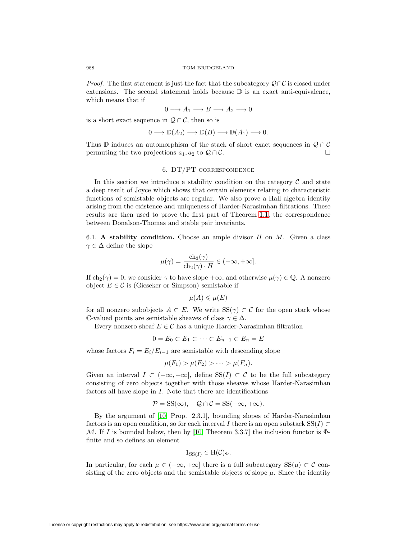*Proof.* The first statement is just the fact that the subcategory  $\mathcal{Q} \cap \mathcal{C}$  is closed under extensions. The second statement holds because  $\mathbb D$  is an exact anti-equivalence, which means that if

$$
0 \longrightarrow A_1 \longrightarrow B \longrightarrow A_2 \longrightarrow 0
$$

is a short exact sequence in  $\mathcal{Q} \cap \mathcal{C}$ , then so is

$$
0 \longrightarrow \mathbb{D}(A_2) \longrightarrow \mathbb{D}(B) \longrightarrow \mathbb{D}(A_1) \longrightarrow 0.
$$

Thus D induces an automorphism of the stack of short exact sequences in  $\mathcal{Q} \cap \mathcal{C}$ permuting the two projections  $a_1, a_2$  to  $\mathcal{Q} \cap \mathcal{C}$ .

### 6. DT/PT correspondence

In this section we introduce a stability condition on the category  $\mathcal C$  and state a deep result of Joyce which shows that certain elements relating to characteristic functions of semistable objects are regular. We also prove a Hall algebra identity arising from the existence and uniqueness of Harder-Narasimhan filtrations. These results are then used to prove the first part of Theorem [1.1,](#page-2-0) the correspondence between Donalson-Thomas and stable pair invariants.

6.1. **A stability condition.** Choose an ample divisor H on M. Given a class  $\gamma \in \Delta$  define the slope

$$
\mu(\gamma) = \frac{\mathrm{ch}_3(\gamma)}{\mathrm{ch}_2(\gamma) \cdot H} \in (-\infty, +\infty].
$$

If  $ch_2(\gamma) = 0$ , we consider  $\gamma$  to have slope  $+\infty$ , and otherwise  $\mu(\gamma) \in \mathbb{Q}$ . A nonzero object  $E \in \mathcal{C}$  is (Gieseker or Simpson) semistable if

$$
\mu(A) \leqslant \mu(E)
$$

for all nonzero subobjects  $A \subset E$ . We write  $SS(\gamma) \subset C$  for the open stack whose C-valued points are semistable sheaves of class  $\gamma \in \Delta$ .

Every nonzero sheaf  $E \in \mathcal{C}$  has a unique Harder-Narasimhan filtration

$$
0 = E_0 \subset E_1 \subset \cdots \subset E_{n-1} \subset E_n = E
$$

whose factors  $F_i = E_i/E_{i-1}$  are semistable with descending slope

$$
\mu(F_1) > \mu(F_2) > \cdots > \mu(F_n).
$$

Given an interval  $I \subset (-\infty, +\infty]$ , define  $SS(I) \subset C$  to be the full subcategory consisting of zero objects together with those sheaves whose Harder-Narasimhan factors all have slope in I. Note that there are identifications

$$
\mathcal{P} = \text{SS}(\infty), \quad \mathcal{Q} \cap \mathcal{C} = \text{SS}(-\infty, +\infty).
$$

By the argument of [\[10,](#page-28-4) Prop. 2.3.1], bounding slopes of Harder-Narasimhan factors is an open condition, so for each interval I there is an open substack  $SS(I) \subset$ M. If I is bounded below, then by [\[10,](#page-28-4) Theorem 3.3.7] the inclusion functor is  $\Phi$ finite and so defines an element

$$
1_{\mathrm{SS}(I)} \in \mathrm{H}(\mathcal{C})_{\Phi}.
$$

In particular, for each  $\mu \in (-\infty, +\infty]$  there is a full subcategory  $SS(\mu) \subset C$  consisting of the zero objects and the semistable objects of slope  $\mu$ . Since the identity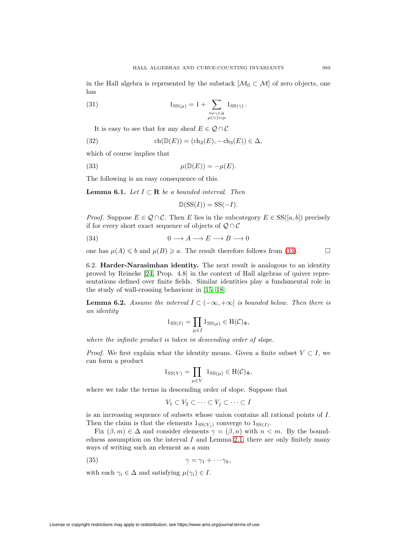in the Hall algebra is represented by the substack  $[\mathcal{M}_0 \subset \mathcal{M}]$  of zero objects, one has

<span id="page-20-1"></span>(31) 
$$
1_{\text{SS}(\mu)} = 1 + \sum_{\substack{\sigma \neq \gamma \in \Delta \\ \mu(\gamma) = \mu}} 1_{\text{SS}(\gamma)}.
$$

It is easy to see that for any sheaf  $E \in \mathcal{Q} \cap \mathcal{C}$ 

<span id="page-20-5"></span>(32) 
$$
\operatorname{ch}(\mathbb{D}(E)) = (\operatorname{ch}_2(E), -\operatorname{ch}_3(E)) \in \Delta,
$$

which of course implies that

<span id="page-20-0"></span>(33) 
$$
\mu(\mathbb{D}(E)) = -\mu(E).
$$

The following is an easy consequence of this.

<span id="page-20-3"></span>**Lemma 6.1.** Let  $I \subset \mathbf{R}$  be a bounded interval. Then

$$
\mathbb{D}(\mathrm{SS}(I)) = \mathrm{SS}(-I).
$$

*Proof.* Suppose  $E \in \mathcal{Q} \cap \mathcal{C}$ . Then E lies in the subcategory  $E \in SS([a, b])$  precisely if for every short exact sequence of objects of  $Q \cap C$ 

(34) 
$$
0 \longrightarrow A \longrightarrow E \longrightarrow B \longrightarrow 0
$$

one has  $\mu(A) \leq b$  and  $\mu(B) \geq a$ . The result therefore follows from [\(33\)](#page-20-0).

6.2. **Harder-Narasimhan identity.** The next result is analogous to an identity proved by Reineke [\[24,](#page-29-10) Prop. 4.8] in the context of Hall algebras of quiver representations defined over finite fields. Similar identities play a fundamental role in the study of wall-crossing behaviour in [\[15,](#page-29-11) [18\]](#page-29-12).

<span id="page-20-4"></span>**Lemma 6.2.** Assume the interval  $I \subset (-\infty, +\infty]$  is bounded below. Then there is an identity

$$
1_{\text{SS}(I)} = \prod_{\mu \in I} 1_{\text{SS}(\mu)} \in \text{H}(\mathcal{C})_{\Phi},
$$

where the infinite product is taken in descending order of slope.

*Proof.* We first explain what the identity means. Given a finite subset  $V \subset I$ , we can form a product

$$
1_{\text{SS}(V)} = \prod_{\mu \in V} 1_{\text{SS}(\mu)} \in \text{H}(\mathcal{C})_{\Phi},
$$

where we take the terms in descending order of slope. Suppose that

$$
V_1 \subset V_2 \subset \cdots \subset V_j \subset \cdots \subset I
$$

is an increasing sequence of subsets whose union contains all rational points of I. Then the claim is that the elements  $1_{SS(V_i)}$  converge to  $1_{SS(I)}$ .

Fix  $(\beta, m) \in \Delta$  and consider elements  $\gamma = (\beta, n)$  with  $n < m$ . By the boundedness assumption on the interval  $I$  and Lemma [2.1,](#page-2-1) there are only finitely many ways of writing such an element as a sum

<span id="page-20-2"></span>
$$
\gamma = \gamma_1 + \cdots \gamma_k,
$$

with each  $\gamma_i \in \Delta$  and satisfying  $\mu(\gamma_i) \in I$ .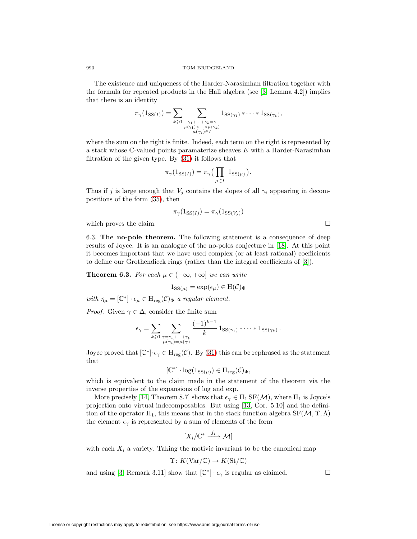990 TOM BRIDGELAND

The existence and uniqueness of the Harder-Narasimhan filtration together with the formula for repeated products in the Hall algebra (see [\[3,](#page-28-7) Lemma 4.2]) implies that there is an identity

$$
\pi_{\gamma}(1_{\text{SS}(I)}) = \sum_{k \geqslant 1} \sum_{\substack{\gamma_1 + \cdots + \gamma_k = \gamma \\ \mu(\gamma_1) > \cdots > \mu(\gamma_k) \\ \mu(\gamma_i) \in I}} 1_{\text{SS}(\gamma_1)} * \cdots * 1_{\text{SS}(\gamma_k)},
$$

where the sum on the right is finite. Indeed, each term on the right is represented by a stack whose C-valued points paramaterize sheaves E with a Harder-Narasimhan filtration of the given type. By [\(31\)](#page-20-1) it follows that

$$
\pi_{\gamma}(\mathbb{1}_{\text{SS}(I)}) = \pi_{\gamma} \big( \prod_{\mu \in I} \mathbb{1}_{\text{SS}(\mu)} \big).
$$

Thus if j is large enough that  $V_j$  contains the slopes of all  $\gamma_i$  appearing in decompositions of the form [\(35\)](#page-20-2), then

$$
\pi_{\gamma}(1_{\text{SS}(I)}) = \pi_{\gamma}(1_{\text{SS}(V_j)})
$$

which proves the claim.  $\Box$ 

6.3. **The no-pole theorem.** The following statement is a consequence of deep results of Joyce. It is an analogue of the no-poles conjecture in [\[18\]](#page-29-12). At this point it becomes important that we have used complex (or at least rational) coefficients to define our Grothendieck rings (rather than the integral coefficients of [\[3\]](#page-28-7)).

<span id="page-21-0"></span>**Theorem 6.3.** For each  $\mu \in (-\infty, +\infty]$  we can write

$$
1_{\text{SS}(\mu)} = \exp(\epsilon_{\mu}) \in \text{H}(\mathcal{C})_{\Phi}
$$

with  $\eta_{\mu} = [\mathbb{C}^*] \cdot \epsilon_{\mu} \in H_{reg}(\mathcal{C})_{\Phi}$  a regular element.

*Proof.* Given  $\gamma \in \Delta$ , consider the finite sum

$$
\epsilon_{\gamma} = \sum_{k \geqslant 1} \sum_{\substack{\gamma = \gamma_1 + \dots + \gamma_k \\ \mu(\gamma_i) = \mu(\gamma)}} \frac{(-1)^{k-1}}{k} 1_{\text{SS}(\gamma_1)} * \dots * 1_{\text{SS}(\gamma_k)}.
$$

Joyce proved that  $[\mathbb{C}^*] \cdot \epsilon_{\gamma} \in H_{reg}(\mathcal{C})$ . By [\(31\)](#page-20-1) this can be rephrased as the statement that

$$
[\mathbb{C}^*] \cdot \log(1_{\text{SS}(\mu)}) \in H_{\text{reg}}(\mathcal{C})_{\Phi},
$$

which is equivalent to the claim made in the statement of the theorem via the inverse properties of the expansions of log and exp.

More precisely [\[14,](#page-29-13) Theorem 8.7] shows that  $\epsilon_{\gamma} \in \Pi_1 \text{SF}(\mathcal{M})$ , where  $\Pi_1$  is Joyce's projection onto virtual indecomposables. But using [\[13,](#page-29-14) Cor. 5.10] and the definition of the operator  $\Pi_1$ , this means that in the stack function algebra  $SF(M, \Upsilon, \Lambda)$ the element  $\epsilon_{\gamma}$  is represented by a sum of elements of the form

$$
[X_i/\mathbb{C}^* \xrightarrow{f_i} \mathcal{M}]
$$

with each  $X_i$  a variety. Taking the motivic invariant to be the canonical map

$$
\Upsilon: K(\text{Var}/\mathbb{C}) \to K(\text{St}/\mathbb{C})
$$

and using [\[3,](#page-28-7) Remark 3.11] show that  $[\mathbb{C}^*] \cdot \epsilon_\gamma$  is regular as claimed.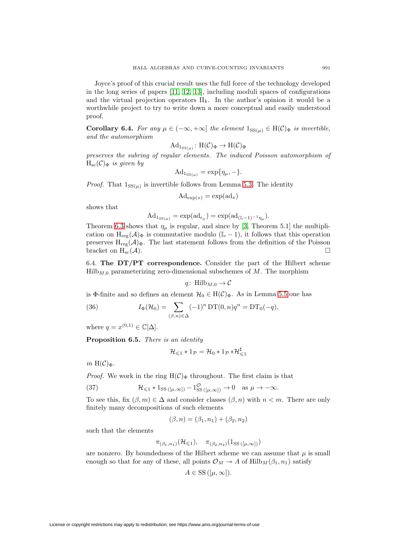Joyce's proof of this crucial result uses the full force of the technology developed in the long series of papers [\[11,](#page-28-10) [12,](#page-29-15) [13\]](#page-29-14), including moduli spaces of configurations and the virtual projection operators  $\Pi_k$ . In the author's opinion it would be a worthwhile project to try to write down a more conceptual and easily understood proof.

<span id="page-22-2"></span>**Corollary 6.4.** For any  $\mu \in (-\infty, +\infty]$  the element  $1_{SS(\mu)} \in H(\mathcal{C})_{\Phi}$  is invertible, and the automorphism

$$
\mathrm{Ad}_{1_{\mathrm{SS}(\mu)}}\colon \mathrm{H}(\mathcal{C})_{\Phi} \to \mathrm{H}(\mathcal{C})_{\Phi}
$$

preserves the subring of regular elements. The induced Poisson automorphism of  $H_{sc}(\mathcal{C})_{\Phi}$  is given by

$$
\mathrm{Ad}_{1_{\mathrm{SS}(\mu)}} = \exp{\{\eta_{\mu}, -\}}.
$$

*Proof.* That  $1_{SS(\mu)}$  is invertible follows from Lemma [5.3.](#page-16-1) The identity

$$
\mathrm{Ad}_{\exp(x)} = \exp(\mathrm{ad}_x)
$$

shows that

$$
\mathrm{Ad}_{1_{\text{SS}(\mu)}} = \exp(\mathrm{ad}_{\epsilon_{\mu}}) = \exp(\mathrm{ad}_{(\mathbb{L}-1)^{-1}\eta_{\mu}}).
$$

Theorem [6.3](#page-21-0) shows that  $\eta_{\mu}$  is regular, and since by [\[3,](#page-28-7) Theorem 5.1] the multiplication on  $H_{reg}(\mathcal{A})_{\Phi}$  is commutative modulo (L − 1), it follows that this operation preserves  $H_{reg}(\mathcal{A})_{\Phi}$ . The last statement follows from the definition of the Poisson bracket on  $H_{\rm sc}(\mathcal{A})$ .

6.4. **The DT/PT correspondence.** Consider the part of the Hilbert scheme  $Hilb<sub>M,0</sub>$  parameterizing zero-dimensional subschemes of M. The morphism

$$
q: \text{Hilb}_{M,0} \rightarrow \mathcal{C}
$$

is Φ-finite and so defines an element  $\mathcal{H}_0 \in H(\mathcal{C})_{\Phi}$ . As in Lemma [5.5](#page-17-0) one has

<span id="page-22-3"></span>(36) 
$$
I_{\Phi}(\mathcal{H}_0) = \sum_{(\beta,n)\in\Delta} (-1)^n \mathop{\rm DT}\nolimits(0,n) q^n = \mathop{\rm DT}\nolimits_0(-q),
$$

where  $q = x^{(0,1)} \in \mathbb{C}[\Delta]$ .

<span id="page-22-1"></span>**Proposition 6.5.** There is an identity

$$
\mathcal{H}_{\leqslant 1} \ast 1_{\mathcal{P}} = \mathcal{H}_0 \ast 1_{\mathcal{P}} \ast \mathcal{H}_{\leqslant 1}^{\sharp}
$$

in  $H(\mathcal{C})_{\Phi}$ .

*Proof.* We work in the ring  $H(\mathcal{C})_{\Phi}$  throughout. The first claim is that

<span id="page-22-0"></span>(37) 
$$
\mathcal{H}_{\leq 1} * 1_{\text{SS }([\mu,\infty])} - 1_{\text{SS }([\mu,\infty])}^{\mathcal{O}} \to 0 \quad \text{as } \mu \to -\infty.
$$

To see this, fix  $(\beta, m) \in \Delta$  and consider classes  $(\beta, n)$  with  $n < m$ . There are only finitely many decompositions of such elements

$$
(\beta, n) = (\beta_1, n_1) + (\beta_2, n_2)
$$

such that the elements

$$
\pi_{(\beta_1,n_1)}(\mathcal{H}_{\leq 1}), \quad \pi_{(\beta_2,n_2)}(1_{\text{SS}}_{([\mu,\infty]))})
$$

are nonzero. By boundedness of the Hilbert scheme we can assume that  $\mu$  is small enough so that for any of these, all points  $\mathcal{O}_M \to A$  of  $Hilb_M(\beta_1, n_1)$  satisfy

$$
A \in \mathrm{SS}\left([\mu,\infty]\right).
$$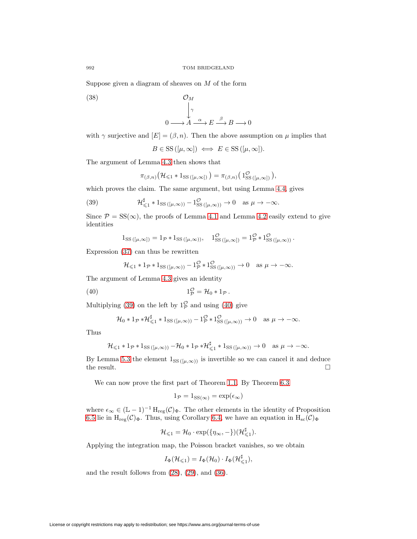Suppose given a diagram of sheaves on  $M$  of the form

(38)  $\mathcal{O}_M$ 

$$
\downarrow^{\gamma}
$$
\n
$$
0 \longrightarrow A \xrightarrow{\alpha} E \xrightarrow{\beta} B \longrightarrow 0
$$

with  $\gamma$  surjective and  $[E]=(\beta,n)$ . Then the above assumption on  $\mu$  implies that

$$
B \in \mathrm{SS}\left([\mu, \infty]\right) \iff E \in \mathrm{SS}\left([\mu, \infty]\right).
$$

The argument of Lemma [4.3](#page-13-0) then shows that

$$
\pi_{(\beta,n)}(\mathcal{H}_{\leq 1} * 1_{\text{SS}}_{([\mu,\infty])}) = \pi_{(\beta,n)}(1_{\text{SS}}^{\mathcal{O}}_{([\mu,\infty])}),
$$

which proves the claim. The same argument, but using Lemma [4.4,](#page-14-1) gives

<span id="page-23-0"></span>(39) 
$$
\mathcal{H}_{\leq 1}^{\sharp} * 1_{\text{SS}}(\mu,\infty)) - 1_{\text{SS}}^{\mathcal{O}}(\mu,\infty)) \to 0 \quad \text{as } \mu \to -\infty.
$$

Since  $\mathcal{P} = SS(\infty)$ , the proofs of Lemma [4.1](#page-12-1) and Lemma [4.2](#page-12-2) easily extend to give identities

$$
1_{\text{SS}}([\mu,\infty]) = 1_{\mathcal{P}} * 1_{\text{SS}}([\mu,\infty)), \quad 1_{\text{SS}}^{\mathcal{O}}([\mu,\infty]) = 1_{\mathcal{P}}^{\mathcal{O}} * 1_{\text{SS}}^{\mathcal{O}}([\mu,\infty)) .
$$

Expression [\(37\)](#page-22-0) can thus be rewritten

$$
\mathcal{H}_{\leq 1} * 1_{\mathcal{P}} * 1_{\text{SS}}_{([\mu,\infty))} - 1_{\mathcal{P}}^{\mathcal{O}} * 1_{\text{SS}}^{\mathcal{O}}_{([\mu,\infty))} \to 0 \quad \text{as } \mu \to -\infty.
$$

The argument of Lemma [4.3](#page-13-0) gives an identity

<span id="page-23-1"></span>
$$
(40) \t 1_p^{\mathcal{O}} = \mathcal{H}_0 * 1_p.
$$

Multiplying [\(39\)](#page-23-0) on the left by  $1_p^{\circ}$  and using [\(40\)](#page-23-1) give

$$
\mathcal{H}_0 * 1_{\mathcal{P}} * \mathcal{H}_{\leq 1}^{\sharp} * 1_{\text{SS}}_{([\mu,\infty))} - 1_{\mathcal{P}}^{\mathcal{O}} * 1_{\text{SS}}^{\mathcal{O}}_{([\mu,\infty))} \to 0 \quad \text{as } \mu \to -\infty.
$$

Thus

$$
\mathcal{H}_{\leq 1} * 1_{\mathcal{P}} * 1_{\text{SS}}_{([\mu,\infty))} - \mathcal{H}_0 * 1_{\mathcal{P}} * \mathcal{H}_{\leq 1}^{\sharp} * 1_{\text{SS}}_{([\mu,\infty))} \to 0 \quad \text{as } \mu \to -\infty.
$$

By Lemma [5.3](#page-16-1) the element  $1_{SS([µ,\infty))}$  is invertible so we can cancel it and deduce the result. the result.

We can now prove the first part of Theorem [1.1.](#page-2-0) By Theorem [6.3](#page-21-0)

$$
1_{\mathcal{P}} = 1_{\text{SS}(\infty)} = \exp(\epsilon_{\infty})
$$

where  $\epsilon_{\infty} \in (\mathbb{L} - 1)^{-1} H_{reg}(\mathcal{C})_{\Phi}$ . The other elements in the identity of Proposition [6.5](#page-22-1) lie in  $H_{reg}(\mathcal{C})_{\Phi}$ . Thus, using Corollary [6.4,](#page-22-2) we have an equation in  $H_{sc}(\mathcal{C})_{\Phi}$ 

$$
\mathcal{H}_{\leq 1} = \mathcal{H}_0 \cdot \exp(\{\eta_\infty, -\}) (\mathcal{H}_{\leq 1}^\sharp).
$$

Applying the integration map, the Poisson bracket vanishes, so we obtain

$$
I_{\Phi}(\mathcal{H}_{\leqslant 1})=I_{\Phi}(\mathcal{H}_0)\cdot I_{\Phi}(\mathcal{H}_{\leqslant 1}^{\sharp}),
$$

and the result follows from  $(28)$ ,  $(29)$ , and  $(36)$ .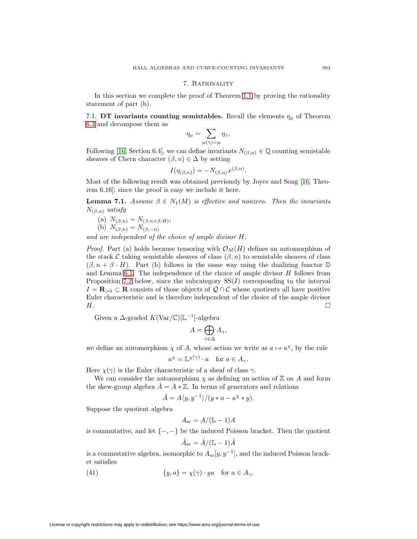### 7. Rationality

In this section we complete the proof of Theorem [1.1](#page-2-0) by proving the rationality statement of part (b).

7.1. **DT invariants counting semistables.** Recall the elements  $\eta_{\mu}$  of Theorem [6.3](#page-21-0) and decompose them as

$$
\eta_\mu = \sum_{\mu(\gamma) = \mu} \eta_\gamma.
$$

Following [\[16,](#page-29-7) Section 6.4], we can define invariants  $N_{(\beta,n)} \in \mathbb{Q}$  counting semistable sheaves of Chern character  $(\beta, n) \in \Delta$  by setting

$$
I(\eta_{(\beta,n)}) = -N_{(\beta,n)}x^{(\beta,n)}.
$$

Most of the following result was obtained previously by Joyce and Song [\[16,](#page-29-7) Theorem 6.16]; since the proof is easy we include it here.

<span id="page-24-1"></span>**Lemma 7.1.** Assume  $\beta \in N_1(M)$  is effective and nonzero. Then the invariants  $N_{(\beta,n)}$  satisfy

(a) 
$$
N_{(\beta,n)} = N_{(\beta,n+\beta \cdot H)},
$$
  
\n(b) N

(b) 
$$
N_{(\beta,n)} = N_{(\beta,-n)}
$$

and are independent of the choice of ample divisor H.

*Proof.* Part (a) holds because tensoring with  $\mathcal{O}_M(H)$  defines an automorphism of the stack C taking semistable sheaves of class  $(\beta, n)$  to semistable sheaves of class  $(\beta, n + \beta \cdot H)$ . Part (b) follows in the same way using the dualizing functor  $\mathbb D$ and Lemma  $6.1$ . The independence of the choice of ample divisor  $H$  follows from Proposition [7.2](#page-25-0) below, since the subcategory  $SS(I)$  corresponding to the interval  $I = \mathbf{R}_{>0}$  ⊂ **R** consists of those objects of  $Q \cap C$  whose quotients all have positive Euler characteristic and is therefore independent of the choice of the ample divisor  $H.$ 

Given a  $\Delta$ -graded  $K(\text{Var}/\mathbb{C})[\mathbb{L}^{-1}]$ -algebra

$$
A = \bigoplus_{\gamma \in \Delta} A_{\gamma},
$$

we define an automorphism  $\chi$  of A, whose action we write as  $a \mapsto a^{\chi}$ , by the rule

$$
a^{\chi} = \mathbb{L}^{\chi(\gamma)} \cdot a \quad \text{for } a \in A_{\gamma}.
$$

Here  $\chi(\gamma)$  is the Euler characteristic of a sheaf of class  $\gamma$ .

We can consider the automorphism  $\chi$  as defining an action of  $\mathbb Z$  on A and form the skew-group algebra  $\hat{A} = A * \mathbb{Z}$ . In terms of generators and relations

$$
\hat{A} = A \langle y, y^{-1} \rangle / (y * a - a^x * y).
$$

Suppose the quotient algebra

$$
A_{\rm sc} = A/(\mathbb{L} - 1)A
$$

is commutative, and let  $\{-,-\}$  be the induced Poisson bracket. Then the quotient

$$
\hat{A}_{\rm sc} = \hat{A}/(\mathbb{L} - 1)\hat{A}
$$

is a commutative algebra, isomorphic to  $A_{\rm sc}[y, y^{-1}]$ , and the induced Poisson bracket satisfies

<span id="page-24-0"></span>(41) 
$$
\{y, a\} = \chi(\gamma) \cdot ya \quad \text{for } a \in A_{\gamma}.
$$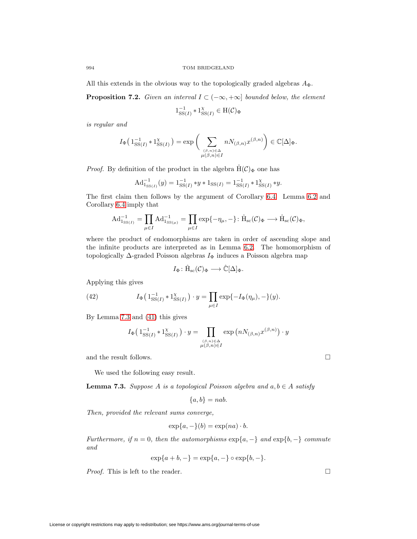All this extends in the obvious way to the topologically graded algebras  $A_{\Phi}$ .

<span id="page-25-0"></span>**Proposition 7.2.** Given an interval  $I \subset (-\infty, +\infty]$  bounded below, the element

$$
1_{\mathrm{SS}(I)}^{-1} \ast 1_{\mathrm{SS}(I)}^{\chi} \in \mathrm{H}(\mathcal{C})_{\Phi}
$$

is regular and

$$
I_{\Phi}\left(1_{\mathrm{SS}(I)}^{-1} * 1_{\mathrm{SS}(I)}^{\chi}\right) = \exp\bigg(\sum_{\substack{(\beta,n)\in\Delta\\mu(\beta,n)\in I}} n N_{(\beta,n)} x^{(\beta,n)}\bigg) \in \mathbb{C}[\Delta]_{\Phi}.
$$

*Proof.* By definition of the product in the algebra  $\hat{H}(C)_{\Phi}$  one has

$$
\mathrm{Ad}^{-1}_{1_{\mathrm{SS}(I)}}(y) = 1_{\mathrm{SS}(I)}^{-1} * y * 1_{\mathrm{SS}(I)} = 1_{\mathrm{SS}(I)}^{-1} * 1_{\mathrm{SS}(I)}^{x} * y.
$$

The first claim then follows by the argument of Corollary [6.4.](#page-22-2) Lemma [6.2](#page-20-4) and Corollary [6.4](#page-22-2) imply that

$$
\mathrm{Ad}^{-1}_{\mathrm{1}_{\mathrm{SS}(I)}} = \prod_{\mu \in I} \mathrm{Ad}^{-1}_{\mathrm{1}_{\mathrm{SS}(\mu)}} = \prod_{\mu \in I} \exp\{-\eta_{\mu}, -\} : \hat{\mathrm{H}}_{\mathrm{sc}}(\mathcal{C})_{\Phi} \longrightarrow \hat{\mathrm{H}}_{\mathrm{sc}}(\mathcal{C})_{\Phi},
$$

where the product of endomorphisms are taken in order of ascending slope and the infinite products are interpreted as in Lemma [6.2.](#page-20-4) The homomorphism of topologically  $\Delta$ -graded Poisson algebras  $I_{\Phi}$  induces a Poisson algebra map

$$
I_\Phi\colon \hat{\mathrm{H}}_\mathrm{sc}(\mathcal{C})_\Phi\longrightarrow \hat{\mathbb{C}}[\Delta]_\Phi.
$$

Applying this gives

(42) 
$$
I_{\Phi}\left(1_{\mathrm{SS}(I)}^{-1} * 1_{\mathrm{SS}(I)}^{\chi}\right) \cdot y = \prod_{\mu \in I} \exp\{-I_{\Phi}(\eta_{\mu}), -\}(y).
$$

By Lemma [7.3](#page-25-1) and [\(41\)](#page-24-0) this gives

$$
I_{\Phi}\left(1_{\mathrm{SS}(I)}^{-1} * 1_{\mathrm{SS}(I)}^{\chi}\right) \cdot y = \prod_{\substack{(\beta,n)\in \Delta\\ \mu(\beta,n)\in I}} \exp\left(nN_{(\beta,n)}x^{(\beta,n)}\right) \cdot y
$$

and the result follows.  $\Box$ 

We used the following easy result.

<span id="page-25-1"></span>**Lemma 7.3.** Suppose A is a topological Poisson algebra and  $a, b \in A$  satisfy

$$
\{a, b\} = nab.
$$

Then, provided the relevant sums converge,

$$
\exp\{a, -\}(b) = \exp(na) \cdot b.
$$

Furthermore, if  $n = 0$ , then the automorphisms  $\exp\{a, -\}$  and  $\exp\{b, -\}$  commute and

$$
\exp\{a+b,-\} = \exp\{a,-\} \circ \exp\{b,-\}.
$$

*Proof.* This is left to the reader.  $\Box$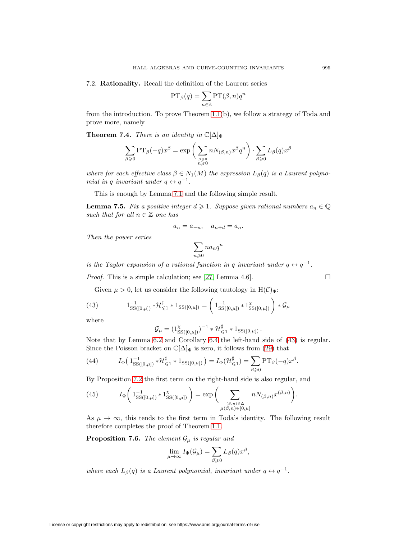7.2. **Rationality.** Recall the definition of the Laurent series

$$
\mathrm{PT}_{\beta}(q) = \sum_{n \in \mathbb{Z}} \mathrm{PT}(\beta, n) q^n
$$

from the introduction. To prove Theorem [1.1\(](#page-2-0)b), we follow a strategy of Toda and prove more, namely

**Theorem 7.4.** There is an identity in  $\mathbb{C}[\Delta]_{\Phi}$ 

$$
\sum_{\beta \geqslant 0} \text{PT}_{\beta}(-q)x^{\beta} = \exp \bigg( \sum_{\substack{\beta \geqslant 0 \\ n \geqslant 0}} n N_{(\beta,n)} x^{\beta} q^n \bigg) \cdot \sum_{\beta \geqslant 0} L_{\beta}(q) x^{\beta}
$$

where for each effective class  $\beta \in N_1(M)$  the expression  $L_\beta(q)$  is a Laurent polynomial in q invariant under  $q \leftrightarrow q^{-1}$ .

This is enough by Lemma [7.1](#page-24-1) and the following simple result.

**Lemma 7.5.** Fix a positive integer  $d \geq 1$ . Suppose given rational numbers  $a_n \in \mathbb{Q}$ such that for all  $n \in \mathbb{Z}$  one has

$$
a_n = a_{-n}, \quad a_{n+d} = a_n.
$$

Then the power series

$$
\sum_{n\geqslant 0}na_nq^n
$$

is the Taylor expansion of a rational function in q invariant under  $q \leftrightarrow q^{-1}$ .

*Proof.* This is a simple calculation; see [\[27,](#page-29-4) Lemma 4.6].

Given  $\mu > 0$ , let us consider the following tautology in  $H(\mathcal{C})_{\Phi}$ :

<span id="page-26-0"></span>(43) 
$$
1_{\text{SS}([0,\mu])}^{-1} * \mathcal{H}_{\leq 1}^{\sharp} * 1_{\text{SS}([0,\mu])} = \left( 1_{\text{SS}([0,\mu])}^{-1} * 1_{\text{SS}([0,\mu])}^{\chi} \right) * \mathcal{G}_{\mu}
$$

where

$$
\mathcal{G}_{\mu} = (\mathbb{1}_{\text{SS}([0,\mu])}^{\chi})^{-1} * \mathcal{H}_{\leq 1}^{\sharp} * \mathbb{1}_{\text{SS}([0,\mu])}.
$$

Note that by Lemma [6.2](#page-20-4) and Corollary [6.4](#page-22-2) the left-hand side of [\(43\)](#page-26-0) is regular. Since the Poisson bracket on  $\mathbb{C}[\Delta]_{\Phi}$  is zero, it follows from [\(29\)](#page-18-1) that

<span id="page-26-1"></span>(44) 
$$
I_{\Phi}\left(1_{\mathrm{SS}([0,\mu])}^{-1}*\mathcal{H}_{\leq 1}^{\sharp} * 1_{\mathrm{SS}([0,\mu])}\right) = I_{\Phi}(\mathcal{H}_{\leq 1}^{\sharp}) = \sum_{\beta \geq 0} \mathrm{PT}_{\beta}(-q)x^{\beta}.
$$

By Proposition [7.2](#page-25-0) the first term on the right-hand side is also regular, and

<span id="page-26-2"></span>(45) 
$$
I_{\Phi}\left(1_{\mathrm{SS}([0,\mu])}^{-1} * 1_{\mathrm{SS}([0,\mu])}^{\chi}\right) = \exp\bigg(\sum_{\substack{(\beta,n)\in\Delta \\ \mu(\beta,n)\in[0,\mu]}} n N_{(\beta,n)} x^{(\beta,n)}\bigg).
$$

As  $\mu \to \infty$ , this tends to the first term in Toda's identity. The following result therefore completes the proof of Theorem [1.1.](#page-2-0)

**Proposition 7.6.** The element  $\mathcal{G}_{\mu}$  is regular and

$$
\lim_{\mu \to \infty} I_{\Phi}(\mathcal{G}_{\mu}) = \sum_{\beta \geqslant 0} L_{\beta}(q) x^{\beta},
$$

where each  $L_{\beta}(q)$  is a Laurent polynomial, invariant under  $q \leftrightarrow q^{-1}$ .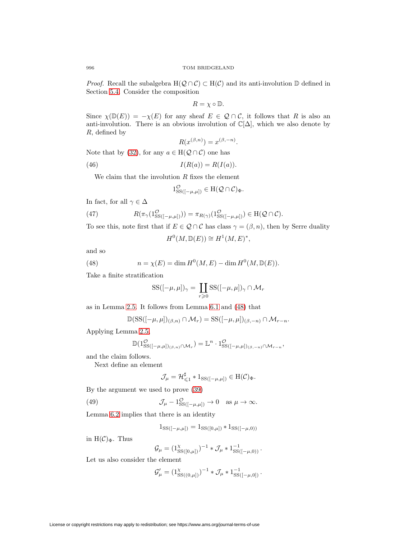*Proof.* Recall the subalgebra  $H(Q \cap C) \subset H(C)$  and its anti-involution D defined in Section [5.4.](#page-18-2) Consider the composition

$$
R=\chi\circ\mathbb{D}.
$$

Since  $\chi(\mathbb{D}(E)) = -\chi(E)$  for any sheaf  $E \in \mathcal{Q} \cap C$ , it follows that R is also an anti-involution. There is an obvious involution of  $\mathbb{C}[\Delta]$ , which we also denote by R, defined by

$$
R(x^{(\beta,n)}) = x^{(\beta,-n)}.
$$

Note that by [\(32\)](#page-20-5), for any  $a \in H(Q \cap C)$  one has

<span id="page-27-3"></span>
$$
(46) \tI(R(a)) = R(I(a)).
$$

We claim that the involution  $R$  fixes the element

$$
1_{\rm SS([-}\mu,\mu])}^{\mathcal{O}} \in \mathrm{H}(\mathcal{Q} \cap \mathcal{C})_{\Phi}.
$$

In fact, for all  $\gamma \in \Delta$ 

<span id="page-27-1"></span>(47) 
$$
R(\pi_{\gamma}(1_{\text{SS}([-\mu,\mu]))}) = \pi_{R(\gamma)}(1_{\text{SS}([-\mu,\mu])}^{\mathcal{O}}) \in \text{H}(\mathcal{Q} \cap \mathcal{C}).
$$

To see this, note first that if  $E \in \mathcal{Q} \cap \mathcal{C}$  has class  $\gamma = (\beta, n)$ , then by Serre duality

$$
H^0(M, \mathbb{D}(E)) \cong H^1(M, E)^*,
$$

and so

<span id="page-27-0"></span>(48) 
$$
n = \chi(E) = \dim H^{0}(M, E) - \dim H^{0}(M, \mathbb{D}(E)).
$$

Take a finite stratification

$$
SS([-\mu, \mu])_{\gamma} = \coprod_{r \geq 0} SS([-\mu, \mu])_{\gamma} \cap \mathcal{M}_r
$$

as in Lemma [2.5.](#page-5-1) It follows from Lemma [6.1](#page-20-3) and [\(48\)](#page-27-0) that

$$
\mathbb{D}(\mathrm{SS}([-\mu,\mu])_{(\beta,n)}\cap\mathcal{M}_r)=\mathrm{SS}([-\mu,\mu])_{(\beta,-n)}\cap\mathcal{M}_{r-n}.
$$

Applying Lemma [2.5,](#page-5-1)

$$
\mathbb{D}(1_{\rm SS([-\mu,\mu])_{(\beta,n)}\cap\mathcal{M}_r}^{\mathcal{O}})=\mathbb{L}^n\cdot 1_{\rm SS([-\mu,\mu])_{(\beta,-n)}\cap\mathcal{M}_{r-n}},
$$

and the claim follows.

Next define an element

$$
\mathcal{J}_{\mu} = \mathcal{H}_{\leq 1}^{\sharp} * 1_{\text{SS}([-\mu,\mu])} \in H(\mathcal{C})_{\Phi}.
$$

By the argument we used to prove [\(39\)](#page-23-0)

<span id="page-27-2"></span>(49) 
$$
\mathcal{J}_{\mu} - 1_{\mathrm{SS}([-\mu,\mu])}^{\mathcal{O}} \to 0 \quad \text{as } \mu \to \infty.
$$

Lemma [6.2](#page-20-4) implies that there is an identity

$$
1_{SS([-\mu,\mu])} = 1_{SS([0,\mu])} * 1_{SS([-\mu,0))}
$$

in  $H(\mathcal{C})_{\Phi}$ . Thus

$$
\mathcal{G}_{\mu} = (1_{\text{SS}([0,\mu])}^{\chi})^{-1} * \mathcal{J}_{\mu} * 1_{\text{SS}([-\mu,0))}^{-1}.
$$

Let us also consider the element

$$
\mathcal{G}'_{\mu} = (1_{SS((0,\mu])}^{\chi})^{-1} * \mathcal{J}_{\mu} * 1_{SS([-\mu,0])}^{-1}.
$$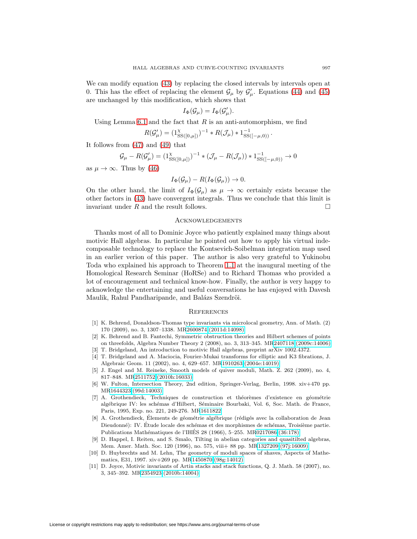We can modify equation [\(43\)](#page-26-0) by replacing the closed intervals by intervals open at 0. This has the effect of replacing the element  $\mathcal{G}_{\mu}$  by  $\mathcal{G}'_{\mu}$ . Equations [\(44\)](#page-26-1) and [\(45\)](#page-26-2) are unchanged by this modification, which shows that

$$
I_{\Phi}(\mathcal{G}_{\mu}) = I_{\Phi}(\mathcal{G}'_{\mu}).
$$

Using Lemma [6.1](#page-20-3) and the fact that R is an anti-automorphism, we find

$$
R(\mathcal{G}'_{\mu}) = (1_{\text{SS}([0,\mu])}^{\chi})^{-1} * R(\mathcal{J}_{\mu}) * 1_{\text{SS}([-{\mu,0})}^{-1}.
$$

It follows from [\(47\)](#page-27-1) and [\(49\)](#page-27-2) that

$$
\mathcal{G}_{\mu} - R(\mathcal{G}'_{\mu}) = (1_{\text{SS}([0,\mu])}^{\chi})^{-1} * (\mathcal{J}_{\mu} - R(\mathcal{J}_{\mu})) * 1_{\text{SS}([-\mu,0))}^{-1} \to 0
$$

as  $\mu \to \infty$ . Thus by [\(46\)](#page-27-3)

$$
I_{\Phi}(\mathcal{G}_{\mu}) - R(I_{\Phi}(\mathcal{G}_{\mu})) \to 0.
$$

On the other hand, the limit of  $I_{\Phi}(\mathcal{G}_{\mu})$  as  $\mu \to \infty$  certainly exists because the other factors in [\(43\)](#page-26-0) have convergent integrals. Thus we conclude that this limit is invariant under  $R$  and the result follows.  $\Box$ 

### Acknowledgements

Thanks most of all to Dominic Joyce who patiently explained many things about motivic Hall algebras. In particular he pointed out how to apply his virtual indecomposable technology to replace the Kontsevich-Soibelman integration map used in an earlier verion of this paper. The author is also very grateful to Yukinobu Toda who explained his approach to Theorem [1.1](#page-2-0) at the inaugural meeting of the Homological Research Seminar (HoRSe) and to Richard Thomas who provided a lot of encouragement and technical know-how. Finally, the author is very happy to acknowledge the entertaining and useful conversations he has enjoyed with Davesh Maulik, Rahul Pandharipande, and Balázs Szendröi.

### **REFERENCES**

- <span id="page-28-0"></span>[1] K. Behrend, Donaldson-Thomas type invariants via microlocal geometry, Ann. of Math. (2) 170 (2009), no. 3, 1307–1338. M[R2600874 \(2011d:14098\)](http://www.ams.org/mathscinet-getitem?mr=2600874)
- <span id="page-28-1"></span>[2] K. Behrend and B. Fantechi, Symmetric obstruction theories and Hilbert schemes of points on threefolds, Algebra Number Theory 2 (2008), no. 3, 313–345. M[R2407118 \(2009c:14006\)](http://www.ams.org/mathscinet-getitem?mr=2407118)
- <span id="page-28-9"></span><span id="page-28-7"></span>[3] T. Bridgeland, An introduction to motivic Hall algebras, preprint arXiv 1002.4372.
- [4] T. Bridgeland and A. Maciocia, Fourier-Mukai transforms for elliptic and K3 fibrations, J. Algebraic Geom. 11 (2002), no. 4, 629–657. M[R1910263 \(2004e:14019\)](http://www.ams.org/mathscinet-getitem?mr=1910263)
- <span id="page-28-8"></span>[5] J. Engel and M. Reineke, Smooth models of quiver moduli, Math. Z. 262 (2009), no. 4, 817–848. M[R2511752 \(2010h:16033\)](http://www.ams.org/mathscinet-getitem?mr=2511752)
- <span id="page-28-2"></span>[6] W. Fulton, Intersection Theory, 2nd edition, Springer-Verlag, Berlin, 1998. xiv+470 pp. M[R1644323 \(99d:14003\)](http://www.ams.org/mathscinet-getitem?mr=1644323)
- <span id="page-28-6"></span>[7] A. Grothendieck, Techniques de construction et théorèmes d'existence en géométrie algébrique IV: les schémas d'Hilbert, Séminaire Bourbaki, Vol. 6, Soc. Math. de France, Paris, 1995, Exp. no. 221, 249-276. M[R1611822](http://www.ams.org/mathscinet-getitem?mr=1611822)
- <span id="page-28-5"></span>[8] A. Grothendieck, Élements de géométrie algébrique (rédigés avec la collaboration de Jean Dieudonné): IV. Étude locale des schémas et des morphismes de schémas, Troisième partie. Publications Mathématiques de l'IHES 28 (1966), 5–255. M[R0217086 \(36:178\)](http://www.ams.org/mathscinet-getitem?mr=0217086)
- <span id="page-28-3"></span>[9] D. Happel, I. Reiten, and S. Smalo, Tilting in abelian categories and quasitilted algebras, Mem. Amer. Math. Soc. 120 (1996), no. 575, viii+ 88 pp. M[R1327209 \(97j:16009\)](http://www.ams.org/mathscinet-getitem?mr=1327209)
- <span id="page-28-4"></span>[10] D. Huybrechts and M. Lehn, The geometry of moduli spaces of shaves, Aspects of Mathematics, E31, 1997. xiv+269 pp. M[R1450870 \(98g:14012\)](http://www.ams.org/mathscinet-getitem?mr=1450870)
- <span id="page-28-10"></span>[11] D. Joyce, Motivic invariants of Artin stacks and stack functions, Q. J. Math. 58 (2007), no. 3, 345–392. M[R2354923 \(2010b:14004\)](http://www.ams.org/mathscinet-getitem?mr=2354923)